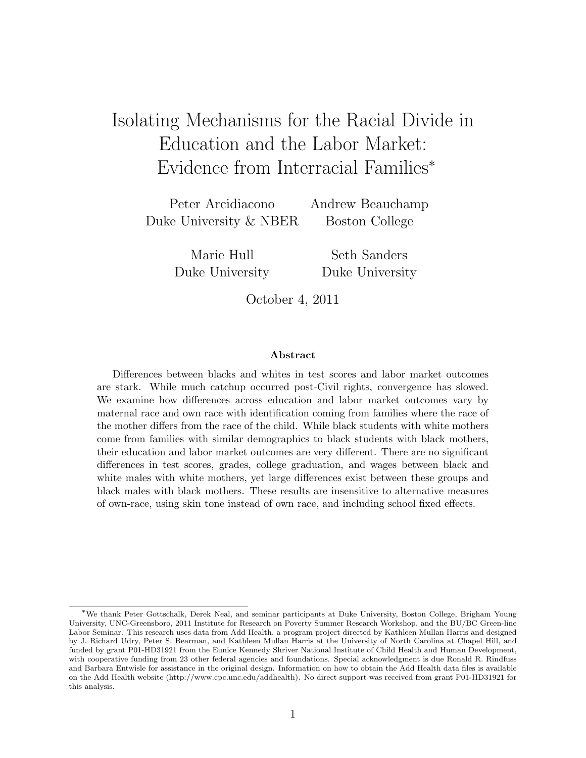# Isolating Mechanisms for the Racial Divide in Education and the Labor Market: Evidence from Interracial Families<sup>∗</sup>

Peter Arcidiacono Andrew Beauchamp Duke University & NBER Boston College

Marie Hull Seth Sanders

Duke University Duke University

October 4, 2011

#### Abstract

Differences between blacks and whites in test scores and labor market outcomes are stark. While much catchup occurred post-Civil rights, convergence has slowed. We examine how differences across education and labor market outcomes vary by maternal race and own race with identification coming from families where the race of the mother differs from the race of the child. While black students with white mothers come from families with similar demographics to black students with black mothers, their education and labor market outcomes are very different. There are no significant differences in test scores, grades, college graduation, and wages between black and white males with white mothers, yet large differences exist between these groups and black males with black mothers. These results are insensitive to alternative measures of own-race, using skin tone instead of own race, and including school fixed effects.

<sup>∗</sup>We thank Peter Gottschalk, Derek Neal, and seminar participants at Duke University, Boston College, Brigham Young University, UNC-Greensboro, 2011 Institute for Research on Poverty Summer Research Workshop, and the BU/BC Green-line Labor Seminar. This research uses data from Add Health, a program project directed by Kathleen Mullan Harris and designed by J. Richard Udry, Peter S. Bearman, and Kathleen Mullan Harris at the University of North Carolina at Chapel Hill, and funded by grant P01-HD31921 from the Eunice Kennedy Shriver National Institute of Child Health and Human Development, with cooperative funding from 23 other federal agencies and foundations. Special acknowledgment is due Ronald R. Rindfuss and Barbara Entwisle for assistance in the original design. Information on how to obtain the Add Health data files is available on the Add Health website (http://www.cpc.unc.edu/addhealth). No direct support was received from grant P01-HD31921 for this analysis.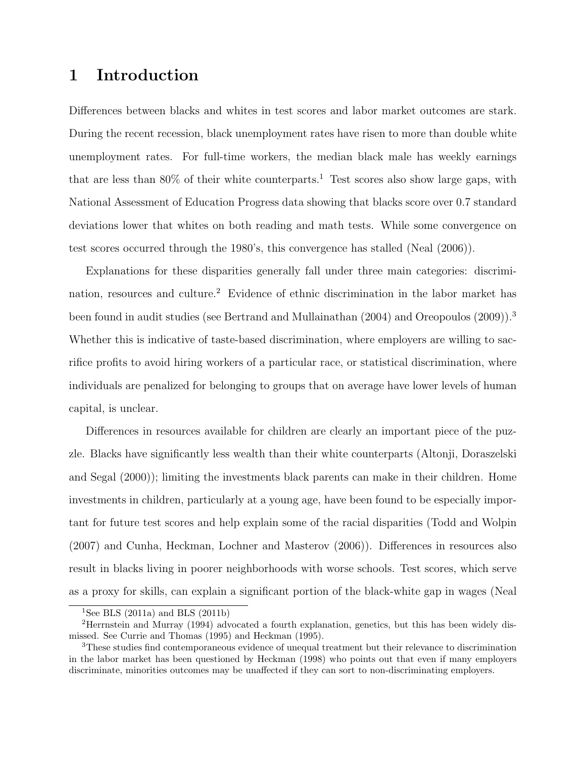# 1 Introduction

Differences between blacks and whites in test scores and labor market outcomes are stark. During the recent recession, black unemployment rates have risen to more than double white unemployment rates. For full-time workers, the median black male has weekly earnings that are less than  $80\%$  of their white counterparts.<sup>1</sup> Test scores also show large gaps, with National Assessment of Education Progress data showing that blacks score over 0.7 standard deviations lower that whites on both reading and math tests. While some convergence on test scores occurred through the 1980's, this convergence has stalled (Neal (2006)).

Explanations for these disparities generally fall under three main categories: discrimination, resources and culture.<sup>2</sup> Evidence of ethnic discrimination in the labor market has been found in audit studies (see Bertrand and Mullainathan (2004) and Oreopoulos (2009)).<sup>3</sup> Whether this is indicative of taste-based discrimination, where employers are willing to sacrifice profits to avoid hiring workers of a particular race, or statistical discrimination, where individuals are penalized for belonging to groups that on average have lower levels of human capital, is unclear.

Differences in resources available for children are clearly an important piece of the puzzle. Blacks have significantly less wealth than their white counterparts (Altonji, Doraszelski and Segal (2000)); limiting the investments black parents can make in their children. Home investments in children, particularly at a young age, have been found to be especially important for future test scores and help explain some of the racial disparities (Todd and Wolpin (2007) and Cunha, Heckman, Lochner and Masterov (2006)). Differences in resources also result in blacks living in poorer neighborhoods with worse schools. Test scores, which serve as a proxy for skills, can explain a significant portion of the black-white gap in wages (Neal

<sup>&</sup>lt;sup>1</sup>See BLS (2011a) and BLS (2011b)

<sup>2</sup>Herrnstein and Murray (1994) advocated a fourth explanation, genetics, but this has been widely dismissed. See Currie and Thomas (1995) and Heckman (1995).

<sup>3</sup>These studies find contemporaneous evidence of unequal treatment but their relevance to discrimination in the labor market has been questioned by Heckman (1998) who points out that even if many employers discriminate, minorities outcomes may be unaffected if they can sort to non-discriminating employers.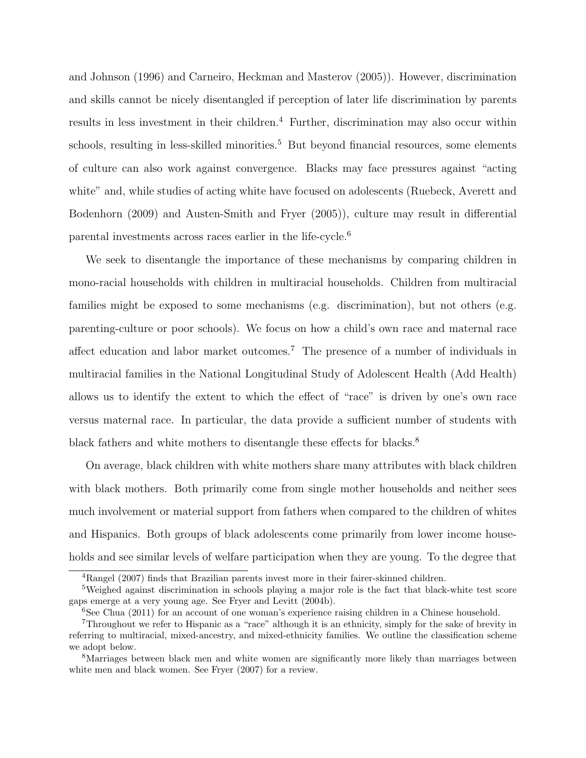and Johnson (1996) and Carneiro, Heckman and Masterov (2005)). However, discrimination and skills cannot be nicely disentangled if perception of later life discrimination by parents results in less investment in their children.<sup>4</sup> Further, discrimination may also occur within schools, resulting in less-skilled minorities.<sup>5</sup> But beyond financial resources, some elements of culture can also work against convergence. Blacks may face pressures against "acting white" and, while studies of acting white have focused on adolescents (Ruebeck, Averett and Bodenhorn (2009) and Austen-Smith and Fryer (2005)), culture may result in differential parental investments across races earlier in the life-cycle.<sup>6</sup>

We seek to disentangle the importance of these mechanisms by comparing children in mono-racial households with children in multiracial households. Children from multiracial families might be exposed to some mechanisms (e.g. discrimination), but not others (e.g. parenting-culture or poor schools). We focus on how a child's own race and maternal race affect education and labor market outcomes.<sup>7</sup> The presence of a number of individuals in multiracial families in the National Longitudinal Study of Adolescent Health (Add Health) allows us to identify the extent to which the effect of "race" is driven by one's own race versus maternal race. In particular, the data provide a sufficient number of students with black fathers and white mothers to disentangle these effects for blacks.<sup>8</sup>

On average, black children with white mothers share many attributes with black children with black mothers. Both primarily come from single mother households and neither sees much involvement or material support from fathers when compared to the children of whites and Hispanics. Both groups of black adolescents come primarily from lower income households and see similar levels of welfare participation when they are young. To the degree that

<sup>4</sup>Rangel (2007) finds that Brazilian parents invest more in their fairer-skinned children.

<sup>&</sup>lt;sup>5</sup>Weighed against discrimination in schools playing a major role is the fact that black-white test score gaps emerge at a very young age. See Fryer and Levitt (2004b).

 $6$ See Chua (2011) for an account of one woman's experience raising children in a Chinese household.

<sup>7</sup>Throughout we refer to Hispanic as a "race" although it is an ethnicity, simply for the sake of brevity in referring to multiracial, mixed-ancestry, and mixed-ethnicity families. We outline the classification scheme we adopt below.

<sup>8</sup>Marriages between black men and white women are significantly more likely than marriages between white men and black women. See Fryer (2007) for a review.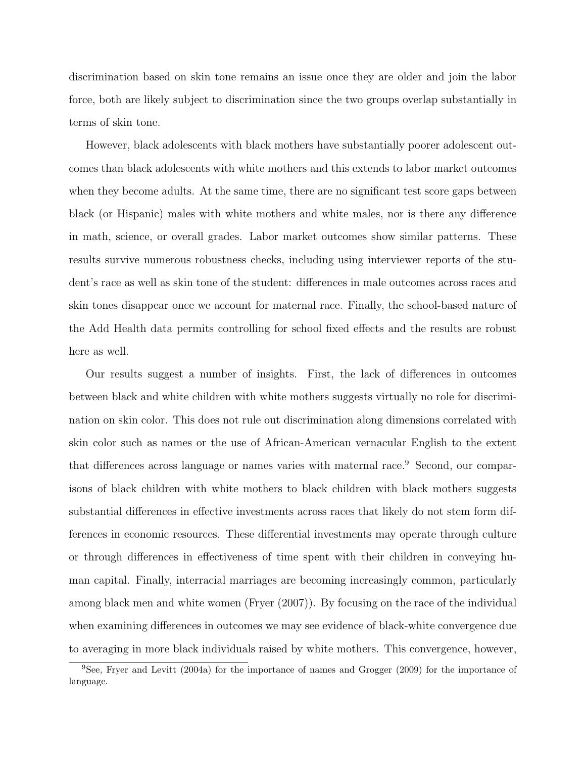discrimination based on skin tone remains an issue once they are older and join the labor force, both are likely subject to discrimination since the two groups overlap substantially in terms of skin tone.

However, black adolescents with black mothers have substantially poorer adolescent outcomes than black adolescents with white mothers and this extends to labor market outcomes when they become adults. At the same time, there are no significant test score gaps between black (or Hispanic) males with white mothers and white males, nor is there any difference in math, science, or overall grades. Labor market outcomes show similar patterns. These results survive numerous robustness checks, including using interviewer reports of the student's race as well as skin tone of the student: differences in male outcomes across races and skin tones disappear once we account for maternal race. Finally, the school-based nature of the Add Health data permits controlling for school fixed effects and the results are robust here as well.

Our results suggest a number of insights. First, the lack of differences in outcomes between black and white children with white mothers suggests virtually no role for discrimination on skin color. This does not rule out discrimination along dimensions correlated with skin color such as names or the use of African-American vernacular English to the extent that differences across language or names varies with maternal race.<sup>9</sup> Second, our comparisons of black children with white mothers to black children with black mothers suggests substantial differences in effective investments across races that likely do not stem form differences in economic resources. These differential investments may operate through culture or through differences in effectiveness of time spent with their children in conveying human capital. Finally, interracial marriages are becoming increasingly common, particularly among black men and white women (Fryer (2007)). By focusing on the race of the individual when examining differences in outcomes we may see evidence of black-white convergence due to averaging in more black individuals raised by white mothers. This convergence, however,

<sup>&</sup>lt;sup>9</sup>See, Fryer and Levitt (2004a) for the importance of names and Grogger (2009) for the importance of language.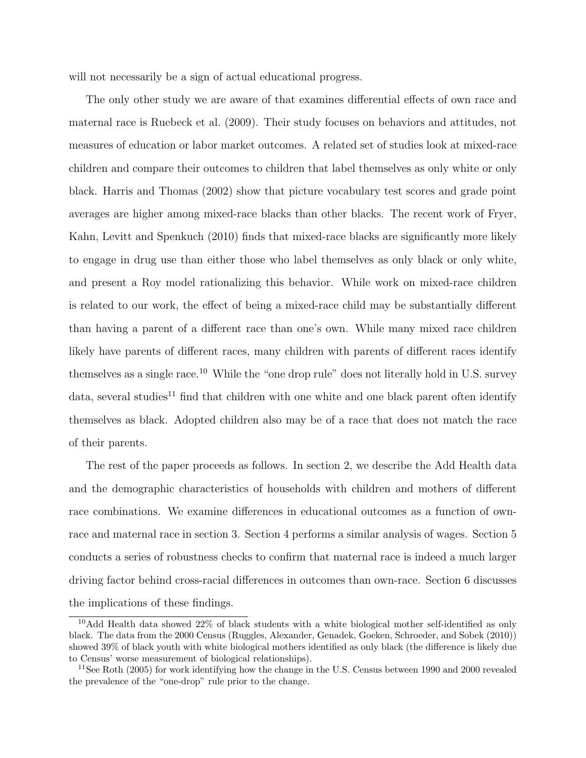will not necessarily be a sign of actual educational progress.

The only other study we are aware of that examines differential effects of own race and maternal race is Ruebeck et al. (2009). Their study focuses on behaviors and attitudes, not measures of education or labor market outcomes. A related set of studies look at mixed-race children and compare their outcomes to children that label themselves as only white or only black. Harris and Thomas (2002) show that picture vocabulary test scores and grade point averages are higher among mixed-race blacks than other blacks. The recent work of Fryer, Kahn, Levitt and Spenkuch (2010) finds that mixed-race blacks are significantly more likely to engage in drug use than either those who label themselves as only black or only white, and present a Roy model rationalizing this behavior. While work on mixed-race children is related to our work, the effect of being a mixed-race child may be substantially different than having a parent of a different race than one's own. While many mixed race children likely have parents of different races, many children with parents of different races identify themselves as a single race.<sup>10</sup> While the "one drop rule" does not literally hold in U.S. survey data, several studies<sup>11</sup> find that children with one white and one black parent often identify themselves as black. Adopted children also may be of a race that does not match the race of their parents.

The rest of the paper proceeds as follows. In section 2, we describe the Add Health data and the demographic characteristics of households with children and mothers of different race combinations. We examine differences in educational outcomes as a function of ownrace and maternal race in section 3. Section 4 performs a similar analysis of wages. Section 5 conducts a series of robustness checks to confirm that maternal race is indeed a much larger driving factor behind cross-racial differences in outcomes than own-race. Section 6 discusses the implications of these findings.

<sup>&</sup>lt;sup>10</sup>Add Health data showed 22% of black students with a white biological mother self-identified as only black. The data from the 2000 Census (Ruggles, Alexander, Genadek, Goeken, Schroeder, and Sobek (2010)) showed 39% of black youth with white biological mothers identified as only black (the difference is likely due to Census' worse measurement of biological relationships).

<sup>&</sup>lt;sup>11</sup>See Roth (2005) for work identifying how the change in the U.S. Census between 1990 and 2000 revealed the prevalence of the "one-drop" rule prior to the change.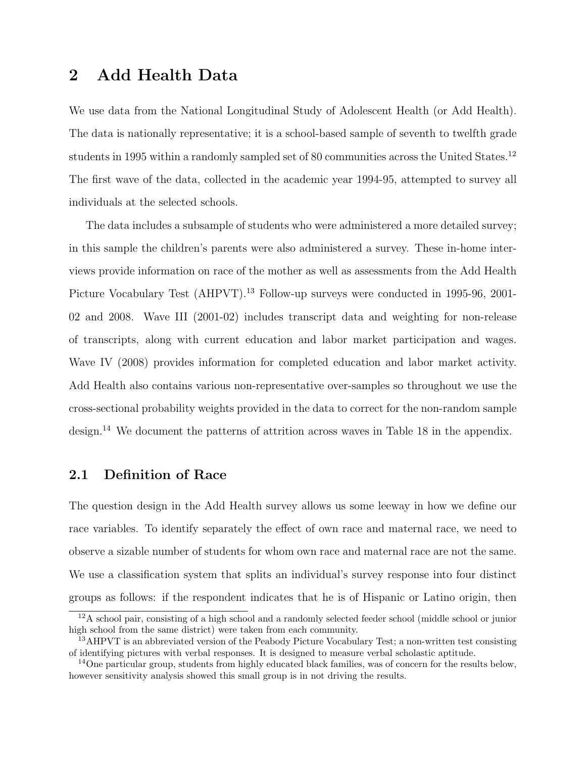## 2 Add Health Data

We use data from the National Longitudinal Study of Adolescent Health (or Add Health). The data is nationally representative; it is a school-based sample of seventh to twelfth grade students in 1995 within a randomly sampled set of 80 communities across the United States.<sup>12</sup> The first wave of the data, collected in the academic year 1994-95, attempted to survey all individuals at the selected schools.

The data includes a subsample of students who were administered a more detailed survey; in this sample the children's parents were also administered a survey. These in-home interviews provide information on race of the mother as well as assessments from the Add Health Picture Vocabulary Test (AHPVT).<sup>13</sup> Follow-up surveys were conducted in 1995-96, 2001-02 and 2008. Wave III (2001-02) includes transcript data and weighting for non-release of transcripts, along with current education and labor market participation and wages. Wave IV (2008) provides information for completed education and labor market activity. Add Health also contains various non-representative over-samples so throughout we use the cross-sectional probability weights provided in the data to correct for the non-random sample design.<sup>14</sup> We document the patterns of attrition across waves in Table 18 in the appendix.

#### 2.1 Definition of Race

The question design in the Add Health survey allows us some leeway in how we define our race variables. To identify separately the effect of own race and maternal race, we need to observe a sizable number of students for whom own race and maternal race are not the same. We use a classification system that splits an individual's survey response into four distinct groups as follows: if the respondent indicates that he is of Hispanic or Latino origin, then

<sup>&</sup>lt;sup>12</sup>A school pair, consisting of a high school and a randomly selected feeder school (middle school or junior high school from the same district) were taken from each community.

<sup>&</sup>lt;sup>13</sup>AHPVT is an abbreviated version of the Peabody Picture Vocabulary Test; a non-written test consisting of identifying pictures with verbal responses. It is designed to measure verbal scholastic aptitude.

<sup>&</sup>lt;sup>14</sup>One particular group, students from highly educated black families, was of concern for the results below, however sensitivity analysis showed this small group is in not driving the results.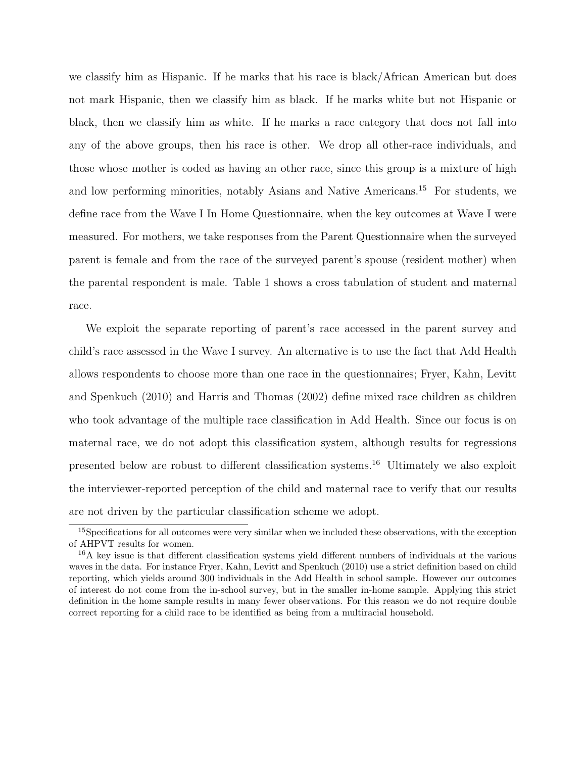we classify him as Hispanic. If he marks that his race is black/African American but does not mark Hispanic, then we classify him as black. If he marks white but not Hispanic or black, then we classify him as white. If he marks a race category that does not fall into any of the above groups, then his race is other. We drop all other-race individuals, and those whose mother is coded as having an other race, since this group is a mixture of high and low performing minorities, notably Asians and Native Americans.<sup>15</sup> For students, we define race from the Wave I In Home Questionnaire, when the key outcomes at Wave I were measured. For mothers, we take responses from the Parent Questionnaire when the surveyed parent is female and from the race of the surveyed parent's spouse (resident mother) when the parental respondent is male. Table 1 shows a cross tabulation of student and maternal race.

We exploit the separate reporting of parent's race accessed in the parent survey and child's race assessed in the Wave I survey. An alternative is to use the fact that Add Health allows respondents to choose more than one race in the questionnaires; Fryer, Kahn, Levitt and Spenkuch (2010) and Harris and Thomas (2002) define mixed race children as children who took advantage of the multiple race classification in Add Health. Since our focus is on maternal race, we do not adopt this classification system, although results for regressions presented below are robust to different classification systems.<sup>16</sup> Ultimately we also exploit the interviewer-reported perception of the child and maternal race to verify that our results are not driven by the particular classification scheme we adopt.

<sup>15</sup>Specifications for all outcomes were very similar when we included these observations, with the exception of AHPVT results for women.

<sup>16</sup>A key issue is that different classification systems yield different numbers of individuals at the various waves in the data. For instance Fryer, Kahn, Levitt and Spenkuch (2010) use a strict definition based on child reporting, which yields around 300 individuals in the Add Health in school sample. However our outcomes of interest do not come from the in-school survey, but in the smaller in-home sample. Applying this strict definition in the home sample results in many fewer observations. For this reason we do not require double correct reporting for a child race to be identified as being from a multiracial household.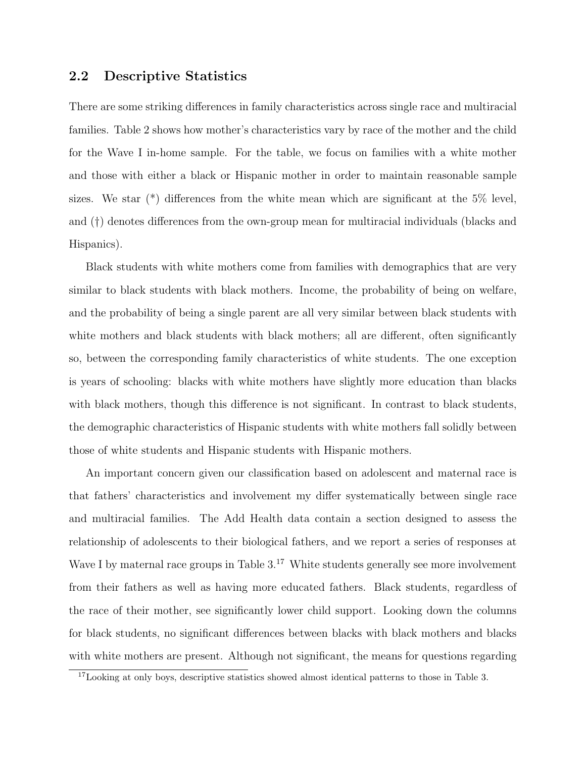#### 2.2 Descriptive Statistics

There are some striking differences in family characteristics across single race and multiracial families. Table 2 shows how mother's characteristics vary by race of the mother and the child for the Wave I in-home sample. For the table, we focus on families with a white mother and those with either a black or Hispanic mother in order to maintain reasonable sample sizes. We star  $(*)$  differences from the white mean which are significant at the 5% level, and (†) denotes differences from the own-group mean for multiracial individuals (blacks and Hispanics).

Black students with white mothers come from families with demographics that are very similar to black students with black mothers. Income, the probability of being on welfare, and the probability of being a single parent are all very similar between black students with white mothers and black students with black mothers; all are different, often significantly so, between the corresponding family characteristics of white students. The one exception is years of schooling: blacks with white mothers have slightly more education than blacks with black mothers, though this difference is not significant. In contrast to black students, the demographic characteristics of Hispanic students with white mothers fall solidly between those of white students and Hispanic students with Hispanic mothers.

An important concern given our classification based on adolescent and maternal race is that fathers' characteristics and involvement my differ systematically between single race and multiracial families. The Add Health data contain a section designed to assess the relationship of adolescents to their biological fathers, and we report a series of responses at Wave I by maternal race groups in Table  $3<sup>17</sup>$  White students generally see more involvement from their fathers as well as having more educated fathers. Black students, regardless of the race of their mother, see significantly lower child support. Looking down the columns for black students, no significant differences between blacks with black mothers and blacks with white mothers are present. Although not significant, the means for questions regarding

<sup>&</sup>lt;sup>17</sup>Looking at only boys, descriptive statistics showed almost identical patterns to those in Table 3.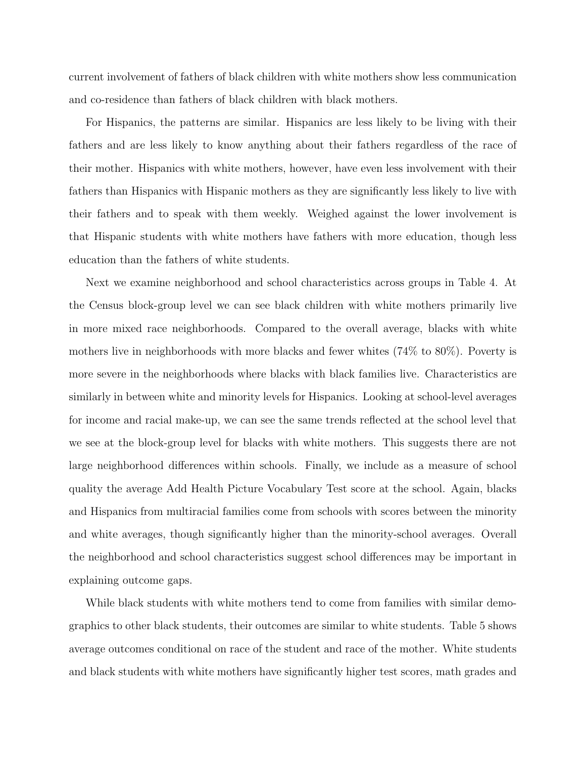current involvement of fathers of black children with white mothers show less communication and co-residence than fathers of black children with black mothers.

For Hispanics, the patterns are similar. Hispanics are less likely to be living with their fathers and are less likely to know anything about their fathers regardless of the race of their mother. Hispanics with white mothers, however, have even less involvement with their fathers than Hispanics with Hispanic mothers as they are significantly less likely to live with their fathers and to speak with them weekly. Weighed against the lower involvement is that Hispanic students with white mothers have fathers with more education, though less education than the fathers of white students.

Next we examine neighborhood and school characteristics across groups in Table 4. At the Census block-group level we can see black children with white mothers primarily live in more mixed race neighborhoods. Compared to the overall average, blacks with white mothers live in neighborhoods with more blacks and fewer whites (74% to 80%). Poverty is more severe in the neighborhoods where blacks with black families live. Characteristics are similarly in between white and minority levels for Hispanics. Looking at school-level averages for income and racial make-up, we can see the same trends reflected at the school level that we see at the block-group level for blacks with white mothers. This suggests there are not large neighborhood differences within schools. Finally, we include as a measure of school quality the average Add Health Picture Vocabulary Test score at the school. Again, blacks and Hispanics from multiracial families come from schools with scores between the minority and white averages, though significantly higher than the minority-school averages. Overall the neighborhood and school characteristics suggest school differences may be important in explaining outcome gaps.

While black students with white mothers tend to come from families with similar demographics to other black students, their outcomes are similar to white students. Table 5 shows average outcomes conditional on race of the student and race of the mother. White students and black students with white mothers have significantly higher test scores, math grades and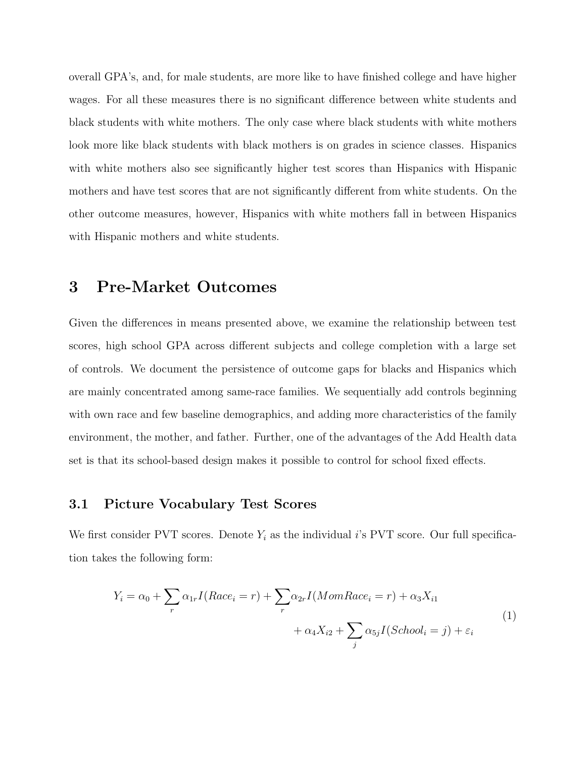overall GPA's, and, for male students, are more like to have finished college and have higher wages. For all these measures there is no significant difference between white students and black students with white mothers. The only case where black students with white mothers look more like black students with black mothers is on grades in science classes. Hispanics with white mothers also see significantly higher test scores than Hispanics with Hispanic mothers and have test scores that are not significantly different from white students. On the other outcome measures, however, Hispanics with white mothers fall in between Hispanics with Hispanic mothers and white students.

### 3 Pre-Market Outcomes

Given the differences in means presented above, we examine the relationship between test scores, high school GPA across different subjects and college completion with a large set of controls. We document the persistence of outcome gaps for blacks and Hispanics which are mainly concentrated among same-race families. We sequentially add controls beginning with own race and few baseline demographics, and adding more characteristics of the family environment, the mother, and father. Further, one of the advantages of the Add Health data set is that its school-based design makes it possible to control for school fixed effects.

#### 3.1 Picture Vocabulary Test Scores

We first consider PVT scores. Denote  $Y_i$  as the individual i's PVT score. Our full specification takes the following form:

$$
Y_i = \alpha_0 + \sum_r \alpha_{1r} I(Race_i = r) + \sum_r \alpha_{2r} I(MomRace_i = r) + \alpha_3 X_{i1} + \alpha_4 X_{i2} + \sum_j \alpha_{5j} I(School_i = j) + \varepsilon_i
$$
\n(1)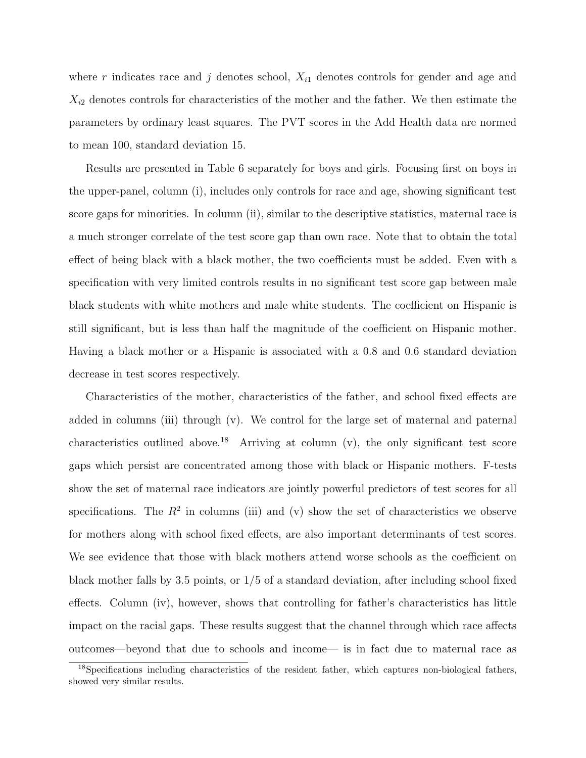where r indicates race and j denotes school,  $X_{i1}$  denotes controls for gender and age and  $X_{i2}$  denotes controls for characteristics of the mother and the father. We then estimate the parameters by ordinary least squares. The PVT scores in the Add Health data are normed to mean 100, standard deviation 15.

Results are presented in Table 6 separately for boys and girls. Focusing first on boys in the upper-panel, column (i), includes only controls for race and age, showing significant test score gaps for minorities. In column (ii), similar to the descriptive statistics, maternal race is a much stronger correlate of the test score gap than own race. Note that to obtain the total effect of being black with a black mother, the two coefficients must be added. Even with a specification with very limited controls results in no significant test score gap between male black students with white mothers and male white students. The coefficient on Hispanic is still significant, but is less than half the magnitude of the coefficient on Hispanic mother. Having a black mother or a Hispanic is associated with a 0.8 and 0.6 standard deviation decrease in test scores respectively.

Characteristics of the mother, characteristics of the father, and school fixed effects are added in columns (iii) through (v). We control for the large set of maternal and paternal characteristics outlined above.<sup>18</sup> Arriving at column  $(v)$ , the only significant test score gaps which persist are concentrated among those with black or Hispanic mothers. F-tests show the set of maternal race indicators are jointly powerful predictors of test scores for all specifications. The  $R^2$  in columns (iii) and (v) show the set of characteristics we observe for mothers along with school fixed effects, are also important determinants of test scores. We see evidence that those with black mothers attend worse schools as the coefficient on black mother falls by 3.5 points, or 1/5 of a standard deviation, after including school fixed effects. Column (iv), however, shows that controlling for father's characteristics has little impact on the racial gaps. These results suggest that the channel through which race affects outcomes—beyond that due to schools and income— is in fact due to maternal race as

<sup>&</sup>lt;sup>18</sup>Specifications including characteristics of the resident father, which captures non-biological fathers, showed very similar results.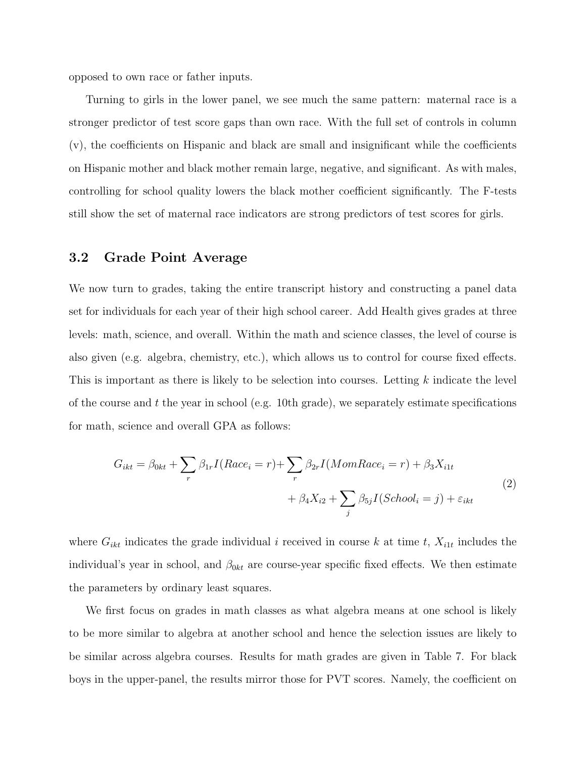opposed to own race or father inputs.

Turning to girls in the lower panel, we see much the same pattern: maternal race is a stronger predictor of test score gaps than own race. With the full set of controls in column (v), the coefficients on Hispanic and black are small and insignificant while the coefficients on Hispanic mother and black mother remain large, negative, and significant. As with males, controlling for school quality lowers the black mother coefficient significantly. The F-tests still show the set of maternal race indicators are strong predictors of test scores for girls.

#### 3.2 Grade Point Average

We now turn to grades, taking the entire transcript history and constructing a panel data set for individuals for each year of their high school career. Add Health gives grades at three levels: math, science, and overall. Within the math and science classes, the level of course is also given (e.g. algebra, chemistry, etc.), which allows us to control for course fixed effects. This is important as there is likely to be selection into courses. Letting k indicate the level of the course and  $t$  the year in school (e.g. 10th grade), we separately estimate specifications for math, science and overall GPA as follows:

$$
G_{ikt} = \beta_{0kt} + \sum_{r} \beta_{1r} I(Race_i = r) + \sum_{r} \beta_{2r} I(MomRace_i = r) + \beta_3 X_{i1t}
$$
  
+ 
$$
\beta_4 X_{i2} + \sum_{j} \beta_{5j} I(School_i = j) + \varepsilon_{ikt}
$$
 (2)

where  $G_{ikt}$  indicates the grade individual i received in course k at time t,  $X_{i1t}$  includes the individual's year in school, and  $\beta_{0kt}$  are course-year specific fixed effects. We then estimate the parameters by ordinary least squares.

We first focus on grades in math classes as what algebra means at one school is likely to be more similar to algebra at another school and hence the selection issues are likely to be similar across algebra courses. Results for math grades are given in Table 7. For black boys in the upper-panel, the results mirror those for PVT scores. Namely, the coefficient on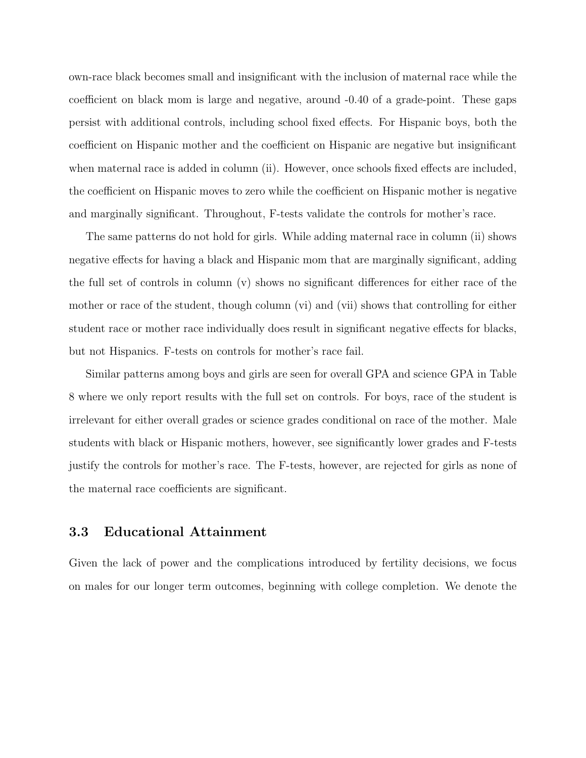own-race black becomes small and insignificant with the inclusion of maternal race while the coefficient on black mom is large and negative, around -0.40 of a grade-point. These gaps persist with additional controls, including school fixed effects. For Hispanic boys, both the coefficient on Hispanic mother and the coefficient on Hispanic are negative but insignificant when maternal race is added in column (ii). However, once schools fixed effects are included, the coefficient on Hispanic moves to zero while the coefficient on Hispanic mother is negative and marginally significant. Throughout, F-tests validate the controls for mother's race.

The same patterns do not hold for girls. While adding maternal race in column (ii) shows negative effects for having a black and Hispanic mom that are marginally significant, adding the full set of controls in column (v) shows no significant differences for either race of the mother or race of the student, though column (vi) and (vii) shows that controlling for either student race or mother race individually does result in significant negative effects for blacks, but not Hispanics. F-tests on controls for mother's race fail.

Similar patterns among boys and girls are seen for overall GPA and science GPA in Table 8 where we only report results with the full set on controls. For boys, race of the student is irrelevant for either overall grades or science grades conditional on race of the mother. Male students with black or Hispanic mothers, however, see significantly lower grades and F-tests justify the controls for mother's race. The F-tests, however, are rejected for girls as none of the maternal race coefficients are significant.

#### 3.3 Educational Attainment

Given the lack of power and the complications introduced by fertility decisions, we focus on males for our longer term outcomes, beginning with college completion. We denote the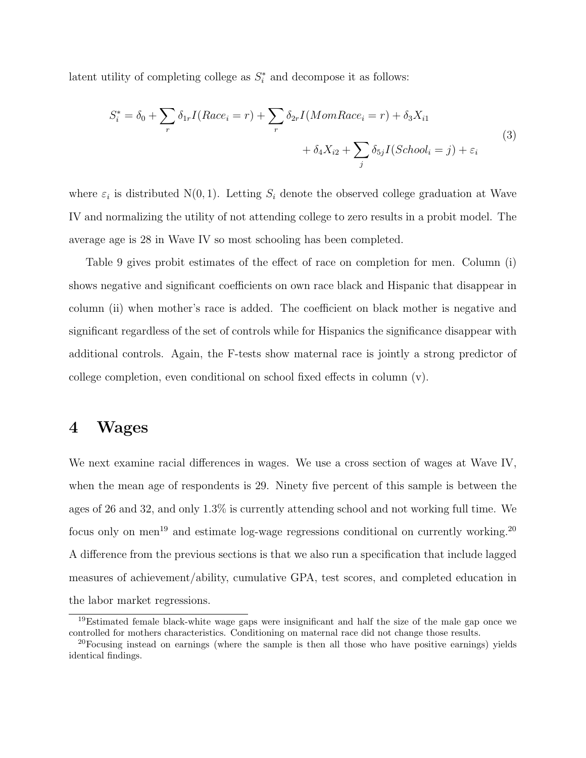latent utility of completing college as  $S_i^*$  and decompose it as follows:

$$
S_i^* = \delta_0 + \sum_r \delta_{1r} I(Race_i = r) + \sum_r \delta_{2r} I(MomRace_i = r) + \delta_3 X_{i1} + \delta_4 X_{i2} + \sum_j \delta_{5j} I(School_i = j) + \varepsilon_i
$$
\n(3)

where  $\varepsilon_i$  is distributed N(0,1). Letting  $S_i$  denote the observed college graduation at Wave IV and normalizing the utility of not attending college to zero results in a probit model. The average age is 28 in Wave IV so most schooling has been completed.

Table 9 gives probit estimates of the effect of race on completion for men. Column (i) shows negative and significant coefficients on own race black and Hispanic that disappear in column (ii) when mother's race is added. The coefficient on black mother is negative and significant regardless of the set of controls while for Hispanics the significance disappear with additional controls. Again, the F-tests show maternal race is jointly a strong predictor of college completion, even conditional on school fixed effects in column (v).

### 4 Wages

We next examine racial differences in wages. We use a cross section of wages at Wave IV, when the mean age of respondents is 29. Ninety five percent of this sample is between the ages of 26 and 32, and only 1.3% is currently attending school and not working full time. We focus only on men<sup>19</sup> and estimate log-wage regressions conditional on currently working.<sup>20</sup> A difference from the previous sections is that we also run a specification that include lagged measures of achievement/ability, cumulative GPA, test scores, and completed education in the labor market regressions.

<sup>19</sup>Estimated female black-white wage gaps were insignificant and half the size of the male gap once we controlled for mothers characteristics. Conditioning on maternal race did not change those results.

<sup>&</sup>lt;sup>20</sup>Focusing instead on earnings (where the sample is then all those who have positive earnings) yields identical findings.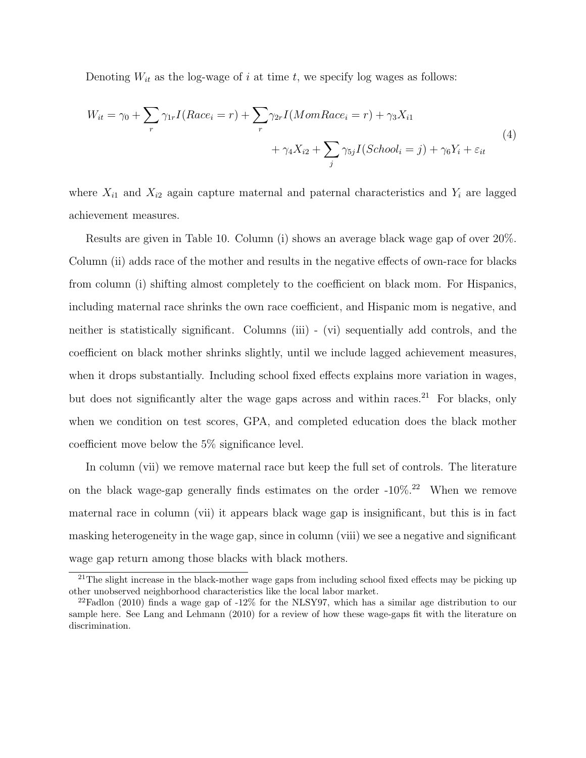Denoting  $W_{it}$  as the log-wage of i at time t, we specify log wages as follows:

$$
W_{it} = \gamma_0 + \sum_r \gamma_{1r} I(Race_i = r) + \sum_r \gamma_{2r} I(MomRace_i = r) + \gamma_3 X_{i1} + \gamma_4 X_{i2} + \sum_j \gamma_{5j} I(School_i = j) + \gamma_6 Y_i + \varepsilon_{it}
$$
\n
$$
(4)
$$

where  $X_{i1}$  and  $X_{i2}$  again capture maternal and paternal characteristics and  $Y_i$  are lagged achievement measures.

Results are given in Table 10. Column (i) shows an average black wage gap of over 20%. Column (ii) adds race of the mother and results in the negative effects of own-race for blacks from column (i) shifting almost completely to the coefficient on black mom. For Hispanics, including maternal race shrinks the own race coefficient, and Hispanic mom is negative, and neither is statistically significant. Columns (iii) - (vi) sequentially add controls, and the coefficient on black mother shrinks slightly, until we include lagged achievement measures, when it drops substantially. Including school fixed effects explains more variation in wages, but does not significantly alter the wage gaps across and within races.<sup>21</sup> For blacks, only when we condition on test scores, GPA, and completed education does the black mother coefficient move below the 5% significance level.

In column (vii) we remove maternal race but keep the full set of controls. The literature on the black wage-gap generally finds estimates on the order  $-10\%$ <sup>22</sup> When we remove maternal race in column (vii) it appears black wage gap is insignificant, but this is in fact masking heterogeneity in the wage gap, since in column (viii) we see a negative and significant wage gap return among those blacks with black mothers.

 $21$ The slight increase in the black-mother wage gaps from including school fixed effects may be picking up other unobserved neighborhood characteristics like the local labor market.

<sup>&</sup>lt;sup>22</sup>Fadlon (2010) finds a wage gap of  $-12\%$  for the NLSY97, which has a similar age distribution to our sample here. See Lang and Lehmann (2010) for a review of how these wage-gaps fit with the literature on discrimination.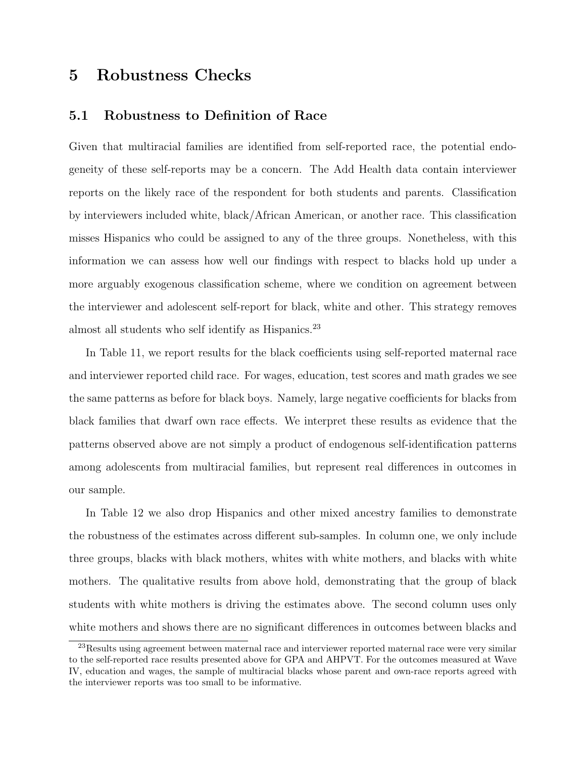## 5 Robustness Checks

#### 5.1 Robustness to Definition of Race

Given that multiracial families are identified from self-reported race, the potential endogeneity of these self-reports may be a concern. The Add Health data contain interviewer reports on the likely race of the respondent for both students and parents. Classification by interviewers included white, black/African American, or another race. This classification misses Hispanics who could be assigned to any of the three groups. Nonetheless, with this information we can assess how well our findings with respect to blacks hold up under a more arguably exogenous classification scheme, where we condition on agreement between the interviewer and adolescent self-report for black, white and other. This strategy removes almost all students who self identify as Hispanics.<sup>23</sup>

In Table 11, we report results for the black coefficients using self-reported maternal race and interviewer reported child race. For wages, education, test scores and math grades we see the same patterns as before for black boys. Namely, large negative coefficients for blacks from black families that dwarf own race effects. We interpret these results as evidence that the patterns observed above are not simply a product of endogenous self-identification patterns among adolescents from multiracial families, but represent real differences in outcomes in our sample.

In Table 12 we also drop Hispanics and other mixed ancestry families to demonstrate the robustness of the estimates across different sub-samples. In column one, we only include three groups, blacks with black mothers, whites with white mothers, and blacks with white mothers. The qualitative results from above hold, demonstrating that the group of black students with white mothers is driving the estimates above. The second column uses only white mothers and shows there are no significant differences in outcomes between blacks and

<sup>23</sup>Results using agreement between maternal race and interviewer reported maternal race were very similar to the self-reported race results presented above for GPA and AHPVT. For the outcomes measured at Wave IV, education and wages, the sample of multiracial blacks whose parent and own-race reports agreed with the interviewer reports was too small to be informative.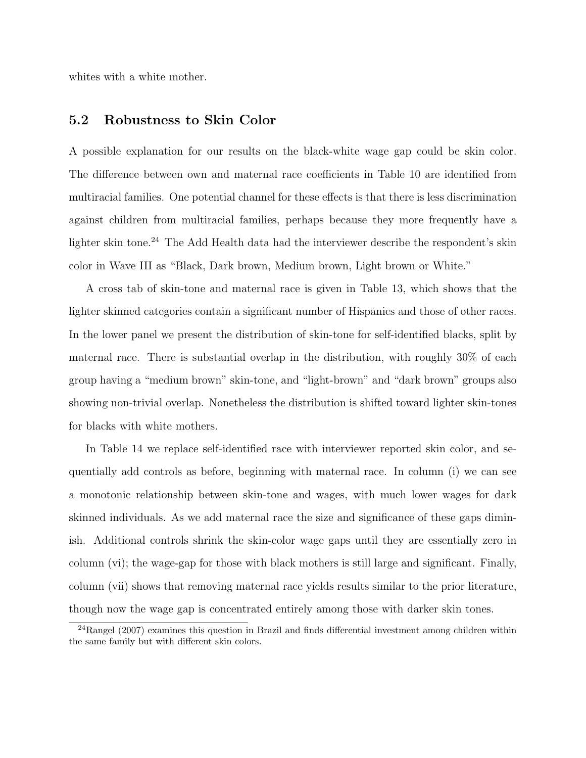whites with a white mother.

#### 5.2 Robustness to Skin Color

A possible explanation for our results on the black-white wage gap could be skin color. The difference between own and maternal race coefficients in Table 10 are identified from multiracial families. One potential channel for these effects is that there is less discrimination against children from multiracial families, perhaps because they more frequently have a lighter skin tone.<sup>24</sup> The Add Health data had the interviewer describe the respondent's skin color in Wave III as "Black, Dark brown, Medium brown, Light brown or White."

A cross tab of skin-tone and maternal race is given in Table 13, which shows that the lighter skinned categories contain a significant number of Hispanics and those of other races. In the lower panel we present the distribution of skin-tone for self-identified blacks, split by maternal race. There is substantial overlap in the distribution, with roughly 30% of each group having a "medium brown" skin-tone, and "light-brown" and "dark brown" groups also showing non-trivial overlap. Nonetheless the distribution is shifted toward lighter skin-tones for blacks with white mothers.

In Table 14 we replace self-identified race with interviewer reported skin color, and sequentially add controls as before, beginning with maternal race. In column (i) we can see a monotonic relationship between skin-tone and wages, with much lower wages for dark skinned individuals. As we add maternal race the size and significance of these gaps diminish. Additional controls shrink the skin-color wage gaps until they are essentially zero in column (vi); the wage-gap for those with black mothers is still large and significant. Finally, column (vii) shows that removing maternal race yields results similar to the prior literature, though now the wage gap is concentrated entirely among those with darker skin tones.

<sup>24</sup>Rangel (2007) examines this question in Brazil and finds differential investment among children within the same family but with different skin colors.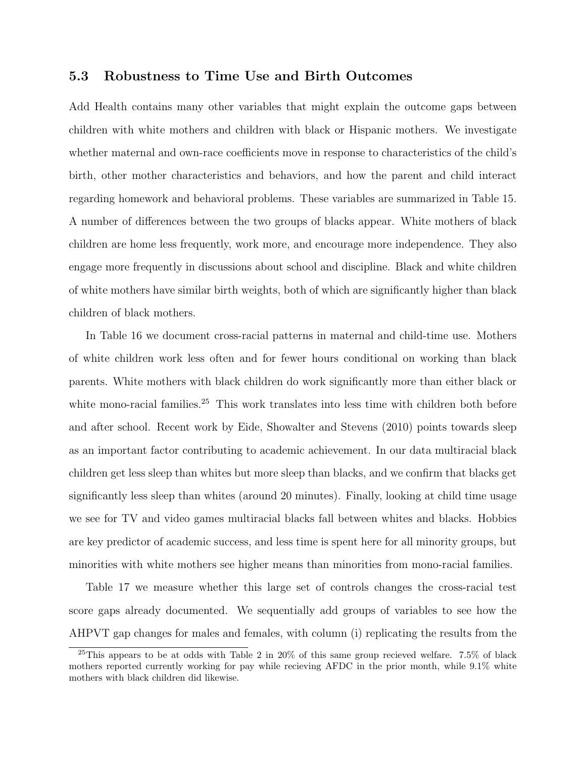#### 5.3 Robustness to Time Use and Birth Outcomes

Add Health contains many other variables that might explain the outcome gaps between children with white mothers and children with black or Hispanic mothers. We investigate whether maternal and own-race coefficients move in response to characteristics of the child's birth, other mother characteristics and behaviors, and how the parent and child interact regarding homework and behavioral problems. These variables are summarized in Table 15. A number of differences between the two groups of blacks appear. White mothers of black children are home less frequently, work more, and encourage more independence. They also engage more frequently in discussions about school and discipline. Black and white children of white mothers have similar birth weights, both of which are significantly higher than black children of black mothers.

In Table 16 we document cross-racial patterns in maternal and child-time use. Mothers of white children work less often and for fewer hours conditional on working than black parents. White mothers with black children do work significantly more than either black or white mono-racial families.<sup>25</sup> This work translates into less time with children both before and after school. Recent work by Eide, Showalter and Stevens (2010) points towards sleep as an important factor contributing to academic achievement. In our data multiracial black children get less sleep than whites but more sleep than blacks, and we confirm that blacks get significantly less sleep than whites (around 20 minutes). Finally, looking at child time usage we see for TV and video games multiracial blacks fall between whites and blacks. Hobbies are key predictor of academic success, and less time is spent here for all minority groups, but minorities with white mothers see higher means than minorities from mono-racial families.

Table 17 we measure whether this large set of controls changes the cross-racial test score gaps already documented. We sequentially add groups of variables to see how the AHPVT gap changes for males and females, with column (i) replicating the results from the

<sup>25</sup>This appears to be at odds with Table 2 in 20% of this same group recieved welfare. 7.5% of black mothers reported currently working for pay while recieving AFDC in the prior month, while 9.1% white mothers with black children did likewise.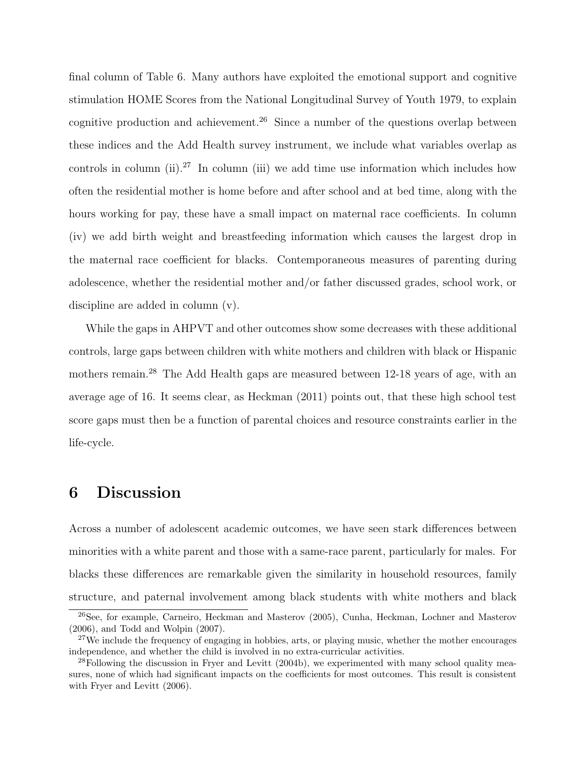final column of Table 6. Many authors have exploited the emotional support and cognitive stimulation HOME Scores from the National Longitudinal Survey of Youth 1979, to explain cognitive production and achievement.<sup>26</sup> Since a number of the questions overlap between these indices and the Add Health survey instrument, we include what variables overlap as controls in column (ii).<sup>27</sup> In column (iii) we add time use information which includes how often the residential mother is home before and after school and at bed time, along with the hours working for pay, these have a small impact on maternal race coefficients. In column (iv) we add birth weight and breastfeeding information which causes the largest drop in the maternal race coefficient for blacks. Contemporaneous measures of parenting during adolescence, whether the residential mother and/or father discussed grades, school work, or discipline are added in column (v).

While the gaps in AHPVT and other outcomes show some decreases with these additional controls, large gaps between children with white mothers and children with black or Hispanic mothers remain.<sup>28</sup> The Add Health gaps are measured between 12-18 years of age, with an average age of 16. It seems clear, as Heckman (2011) points out, that these high school test score gaps must then be a function of parental choices and resource constraints earlier in the life-cycle.

### 6 Discussion

Across a number of adolescent academic outcomes, we have seen stark differences between minorities with a white parent and those with a same-race parent, particularly for males. For blacks these differences are remarkable given the similarity in household resources, family structure, and paternal involvement among black students with white mothers and black

<sup>26</sup>See, for example, Carneiro, Heckman and Masterov (2005), Cunha, Heckman, Lochner and Masterov (2006), and Todd and Wolpin (2007).

<sup>&</sup>lt;sup>27</sup>We include the frequency of engaging in hobbies, arts, or playing music, whether the mother encourages independence, and whether the child is involved in no extra-curricular activities.

 $^{28}$ Following the discussion in Fryer and Levitt (2004b), we experimented with many school quality measures, none of which had significant impacts on the coefficients for most outcomes. This result is consistent with Fryer and Levitt (2006).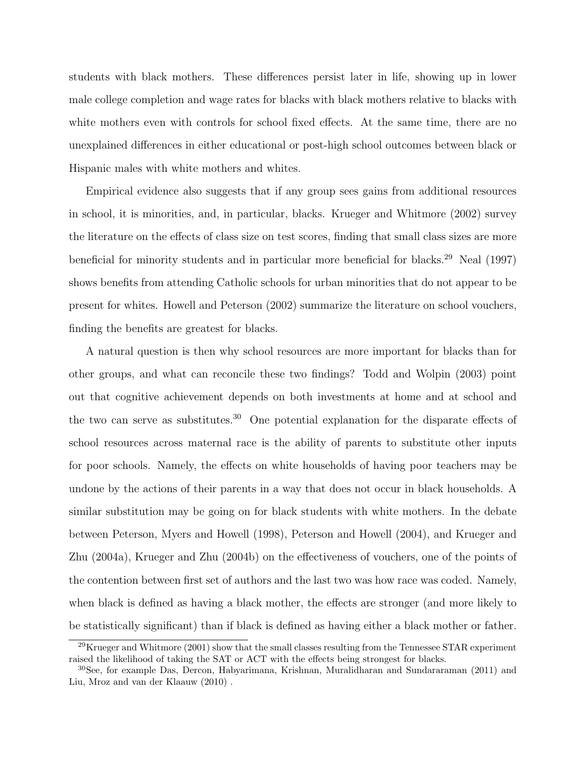students with black mothers. These differences persist later in life, showing up in lower male college completion and wage rates for blacks with black mothers relative to blacks with white mothers even with controls for school fixed effects. At the same time, there are no unexplained differences in either educational or post-high school outcomes between black or Hispanic males with white mothers and whites.

Empirical evidence also suggests that if any group sees gains from additional resources in school, it is minorities, and, in particular, blacks. Krueger and Whitmore (2002) survey the literature on the effects of class size on test scores, finding that small class sizes are more beneficial for minority students and in particular more beneficial for blacks.<sup>29</sup> Neal (1997) shows benefits from attending Catholic schools for urban minorities that do not appear to be present for whites. Howell and Peterson (2002) summarize the literature on school vouchers, finding the benefits are greatest for blacks.

A natural question is then why school resources are more important for blacks than for other groups, and what can reconcile these two findings? Todd and Wolpin (2003) point out that cognitive achievement depends on both investments at home and at school and the two can serve as substitutes.<sup>30</sup> One potential explanation for the disparate effects of school resources across maternal race is the ability of parents to substitute other inputs for poor schools. Namely, the effects on white households of having poor teachers may be undone by the actions of their parents in a way that does not occur in black households. A similar substitution may be going on for black students with white mothers. In the debate between Peterson, Myers and Howell (1998), Peterson and Howell (2004), and Krueger and Zhu (2004a), Krueger and Zhu (2004b) on the effectiveness of vouchers, one of the points of the contention between first set of authors and the last two was how race was coded. Namely, when black is defined as having a black mother, the effects are stronger (and more likely to be statistically significant) than if black is defined as having either a black mother or father.

 $^{29}$ Krueger and Whitmore (2001) show that the small classes resulting from the Tennessee STAR experiment raised the likelihood of taking the SAT or ACT with the effects being strongest for blacks.

<sup>30</sup>See, for example Das, Dercon, Habyarimana, Krishnan, Muralidharan and Sundararaman (2011) and Liu, Mroz and van der Klaauw (2010) .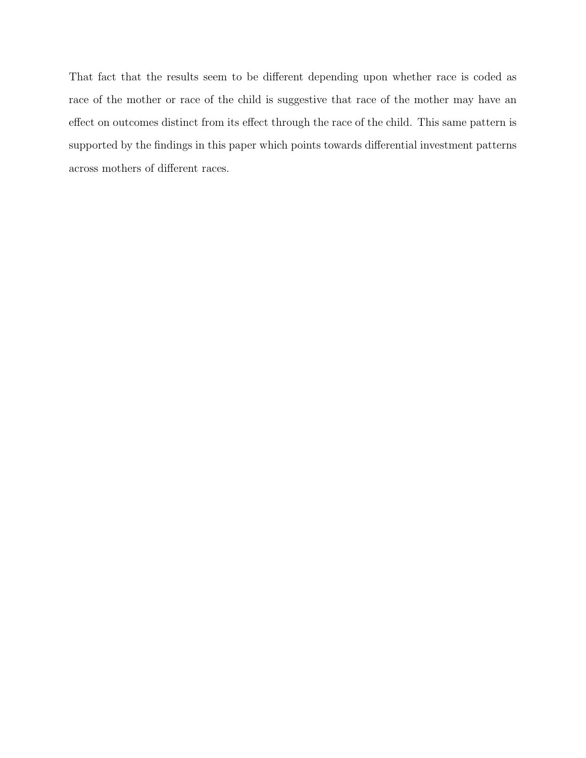That fact that the results seem to be different depending upon whether race is coded as race of the mother or race of the child is suggestive that race of the mother may have an effect on outcomes distinct from its effect through the race of the child. This same pattern is supported by the findings in this paper which points towards differential investment patterns across mothers of different races.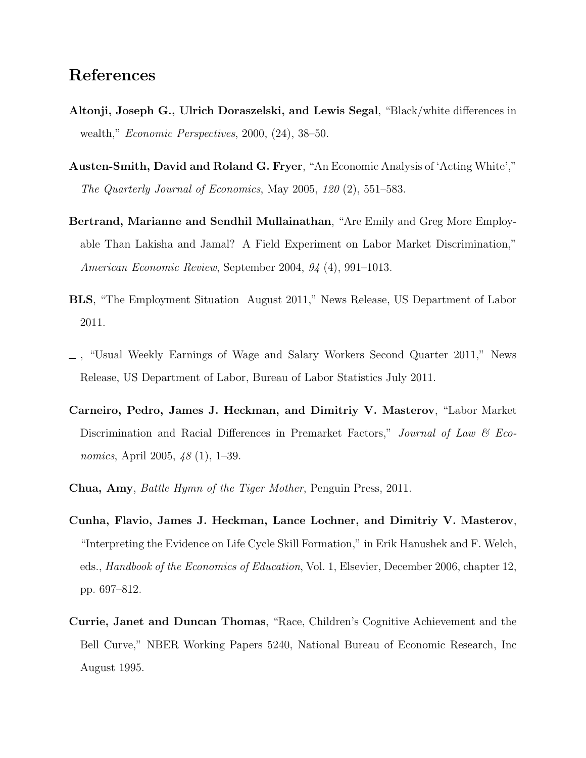## References

- Altonji, Joseph G., Ulrich Doraszelski, and Lewis Segal, "Black/white differences in wealth," Economic Perspectives, 2000, (24), 38–50.
- Austen-Smith, David and Roland G. Fryer, "An Economic Analysis of 'Acting White'," The Quarterly Journal of Economics, May 2005, 120 (2), 551–583.
- Bertrand, Marianne and Sendhil Mullainathan, "Are Emily and Greg More Employable Than Lakisha and Jamal? A Field Experiment on Labor Market Discrimination," American Economic Review, September 2004, 94 (4), 991–1013.
- BLS, "The Employment Situation August 2011," News Release, US Department of Labor 2011.
- , "Usual Weekly Earnings of Wage and Salary Workers Second Quarter 2011," News Release, US Department of Labor, Bureau of Labor Statistics July 2011.
- Carneiro, Pedro, James J. Heckman, and Dimitriy V. Masterov, "Labor Market Discrimination and Racial Differences in Premarket Factors," Journal of Law  $\mathcal C$  Economics, April 2005, 48 (1), 1–39.
- Chua, Amy, Battle Hymn of the Tiger Mother, Penguin Press, 2011.
- Cunha, Flavio, James J. Heckman, Lance Lochner, and Dimitriy V. Masterov, "Interpreting the Evidence on Life Cycle Skill Formation," in Erik Hanushek and F. Welch, eds., Handbook of the Economics of Education, Vol. 1, Elsevier, December 2006, chapter 12, pp. 697–812.
- Currie, Janet and Duncan Thomas, "Race, Children's Cognitive Achievement and the Bell Curve," NBER Working Papers 5240, National Bureau of Economic Research, Inc August 1995.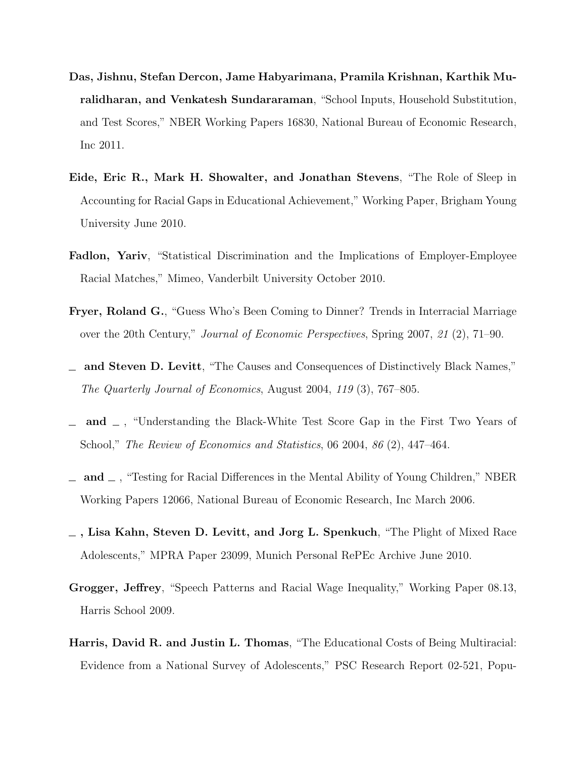- Das, Jishnu, Stefan Dercon, Jame Habyarimana, Pramila Krishnan, Karthik Muralidharan, and Venkatesh Sundararaman, "School Inputs, Household Substitution, and Test Scores," NBER Working Papers 16830, National Bureau of Economic Research, Inc 2011.
- Eide, Eric R., Mark H. Showalter, and Jonathan Stevens, "The Role of Sleep in Accounting for Racial Gaps in Educational Achievement," Working Paper, Brigham Young University June 2010.
- Fadlon, Yariv, "Statistical Discrimination and the Implications of Employer-Employee Racial Matches," Mimeo, Vanderbilt University October 2010.
- Fryer, Roland G., "Guess Who's Been Coming to Dinner? Trends in Interracial Marriage over the 20th Century," Journal of Economic Perspectives, Spring 2007, 21 (2), 71–90.
- and Steven D. Levitt, "The Causes and Consequences of Distinctively Black Names," The Quarterly Journal of Economics, August 2004, 119 (3), 767–805.
- and  $\Box$ , "Understanding the Black-White Test Score Gap in the First Two Years of School," The Review of Economics and Statistics, 06 2004, 86 (2), 447–464.
- $\Box$  and  $\Box$ , "Testing for Racial Differences in the Mental Ability of Young Children," NBER Working Papers 12066, National Bureau of Economic Research, Inc March 2006.
- $\overline{\phantom{a}}$ , Lisa Kahn, Steven D. Levitt, and Jorg L. Spenkuch, "The Plight of Mixed Race Adolescents," MPRA Paper 23099, Munich Personal RePEc Archive June 2010.
- Grogger, Jeffrey, "Speech Patterns and Racial Wage Inequality," Working Paper 08.13, Harris School 2009.
- Harris, David R. and Justin L. Thomas, "The Educational Costs of Being Multiracial: Evidence from a National Survey of Adolescents," PSC Research Report 02-521, Popu-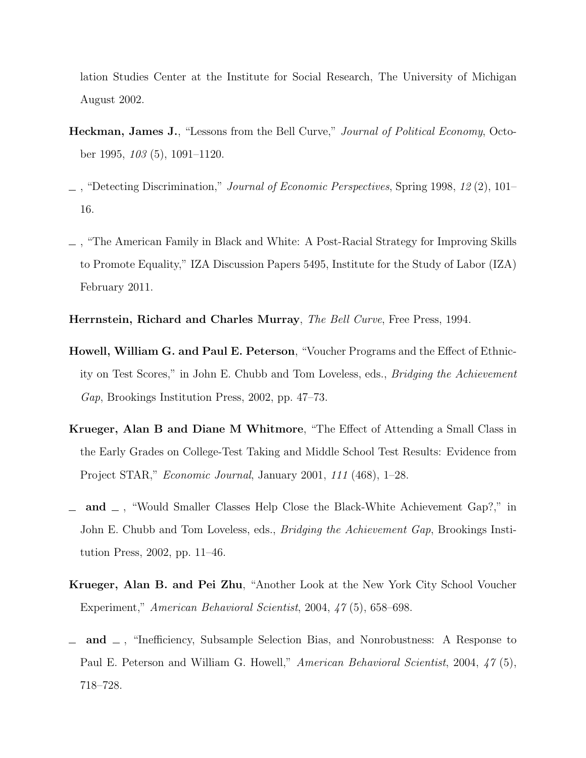lation Studies Center at the Institute for Social Research, The University of Michigan August 2002.

- Heckman, James J., "Lessons from the Bell Curve," Journal of Political Economy, October 1995, 103 (5), 1091–1120.
- , "Detecting Discrimination," Journal of Economic Perspectives, Spring 1998, 12 (2), 101– 16.
- , "The American Family in Black and White: A Post-Racial Strategy for Improving Skills to Promote Equality," IZA Discussion Papers 5495, Institute for the Study of Labor (IZA) February 2011.
- Herrnstein, Richard and Charles Murray, The Bell Curve, Free Press, 1994.
- Howell, William G. and Paul E. Peterson, "Voucher Programs and the Effect of Ethnicity on Test Scores," in John E. Chubb and Tom Loveless, eds., Bridging the Achievement Gap, Brookings Institution Press, 2002, pp. 47–73.
- Krueger, Alan B and Diane M Whitmore, "The Effect of Attending a Small Class in the Early Grades on College-Test Taking and Middle School Test Results: Evidence from Project STAR," Economic Journal, January 2001, 111 (468), 1–28.
- and  $\Box$ , "Would Smaller Classes Help Close the Black-White Achievement Gap?," in John E. Chubb and Tom Loveless, eds., *Bridging the Achievement Gap*, Brookings Institution Press, 2002, pp. 11–46.
- Krueger, Alan B. and Pei Zhu, "Another Look at the New York City School Voucher Experiment," American Behavioral Scientist, 2004, 47 (5), 658–698.
- and  $\Box$ , "Inefficiency, Subsample Selection Bias, and Nonrobustness: A Response to Paul E. Peterson and William G. Howell," American Behavioral Scientist, 2004, 47 (5), 718–728.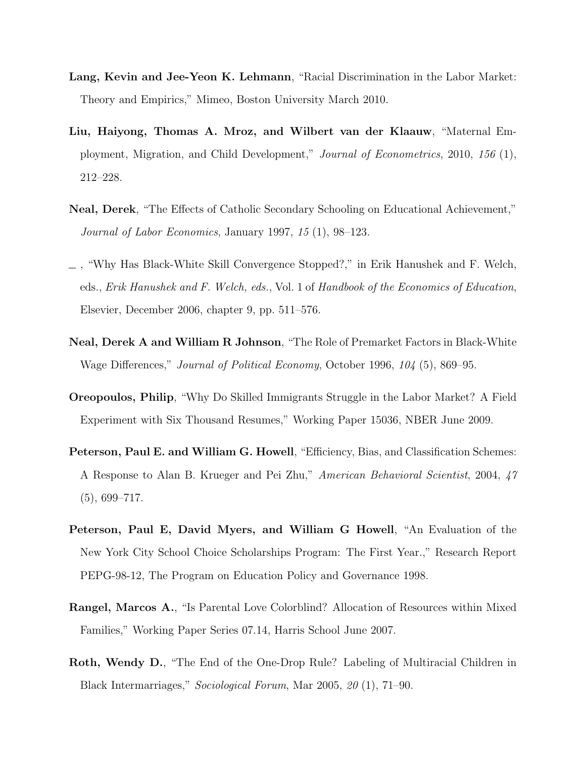- Lang, Kevin and Jee-Yeon K. Lehmann, "Racial Discrimination in the Labor Market: Theory and Empirics," Mimeo, Boston University March 2010.
- Liu, Haiyong, Thomas A. Mroz, and Wilbert van der Klaauw, "Maternal Employment, Migration, and Child Development," Journal of Econometrics, 2010, 156 (1), 212–228.
- Neal, Derek, "The Effects of Catholic Secondary Schooling on Educational Achievement," Journal of Labor Economics, January 1997, 15 (1), 98–123.
- , "Why Has Black-White Skill Convergence Stopped?," in Erik Hanushek and F. Welch, eds., Erik Hanushek and F. Welch, eds., Vol. 1 of Handbook of the Economics of Education, Elsevier, December 2006, chapter 9, pp. 511–576.
- Neal, Derek A and William R Johnson, "The Role of Premarket Factors in Black-White Wage Differences," Journal of Political Economy, October 1996, 104 (5), 869–95.
- Oreopoulos, Philip, "Why Do Skilled Immigrants Struggle in the Labor Market? A Field Experiment with Six Thousand Resumes," Working Paper 15036, NBER June 2009.
- Peterson, Paul E. and William G. Howell, "Efficiency, Bias, and Classification Schemes: A Response to Alan B. Krueger and Pei Zhu," American Behavioral Scientist, 2004, 47  $(5), 699-717.$
- Peterson, Paul E, David Myers, and William G Howell, "An Evaluation of the New York City School Choice Scholarships Program: The First Year.," Research Report PEPG-98-12, The Program on Education Policy and Governance 1998.
- Rangel, Marcos A., "Is Parental Love Colorblind? Allocation of Resources within Mixed Families," Working Paper Series 07.14, Harris School June 2007.
- Roth, Wendy D., "The End of the One-Drop Rule? Labeling of Multiracial Children in Black Intermarriages," Sociological Forum, Mar 2005, 20 (1), 71–90.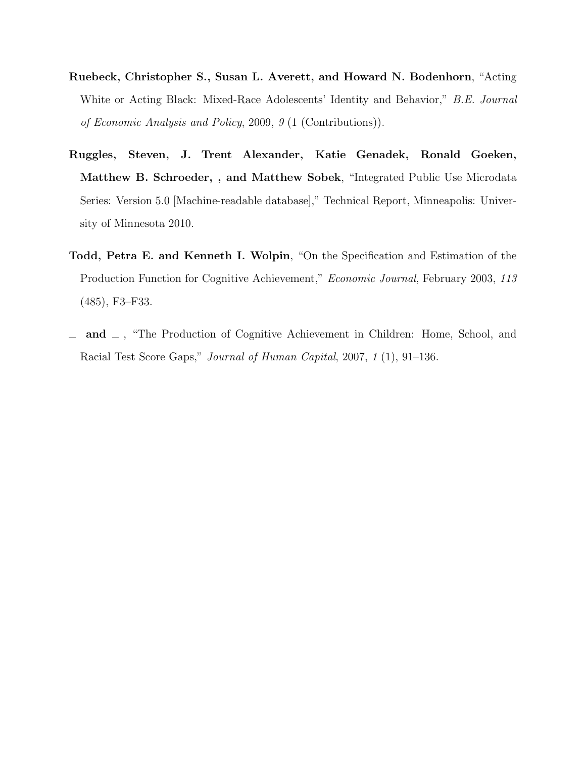- Ruebeck, Christopher S., Susan L. Averett, and Howard N. Bodenhorn, "Acting White or Acting Black: Mixed-Race Adolescents' Identity and Behavior," B.E. Journal of Economic Analysis and Policy, 2009, 9 (1 (Contributions)).
- Ruggles, Steven, J. Trent Alexander, Katie Genadek, Ronald Goeken, Matthew B. Schroeder, , and Matthew Sobek, "Integrated Public Use Microdata Series: Version 5.0 [Machine-readable database]," Technical Report, Minneapolis: University of Minnesota 2010.
- Todd, Petra E. and Kenneth I. Wolpin, "On the Specification and Estimation of the Production Function for Cognitive Achievement," Economic Journal, February 2003, 113 (485), F3–F33.
- $\Box$  and  $\Box$ , "The Production of Cognitive Achievement in Children: Home, School, and Racial Test Score Gaps," Journal of Human Capital, 2007, 1 (1), 91–136.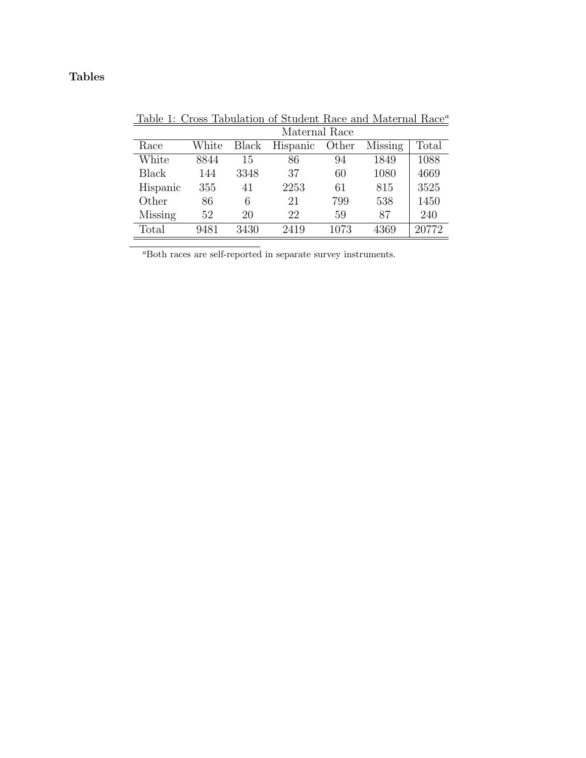### Tables

|              |       |       | Maternal Race |       |         |       |
|--------------|-------|-------|---------------|-------|---------|-------|
| Race         | White | Black | Hispanic      | Other | Missing | Total |
| White        | 8844  | 15    | 86            | 94    | 1849    | 1088  |
| <b>Black</b> | 144   | 3348  | 37            | 60    | 1080    | 4669  |
| Hispanic     | 355   | 41    | 2253          | 61    | 815     | 3525  |
| Other        | 86    | 6     | 21            | 799   | 538     | 1450  |
| Missing      | 52    | 20    | 22            | 59    | 87      | 240   |
| Total        | 9481  | 3430  | 2419          | 1073  | 4369    | 20772 |

 $\underline{\text{Table 1: Cross Tabulation of Student Race and Material Race}^a}$ 

 $\overline{\phantom{a}^a\text{Both races}}$  are self-reported in separate survey instruments.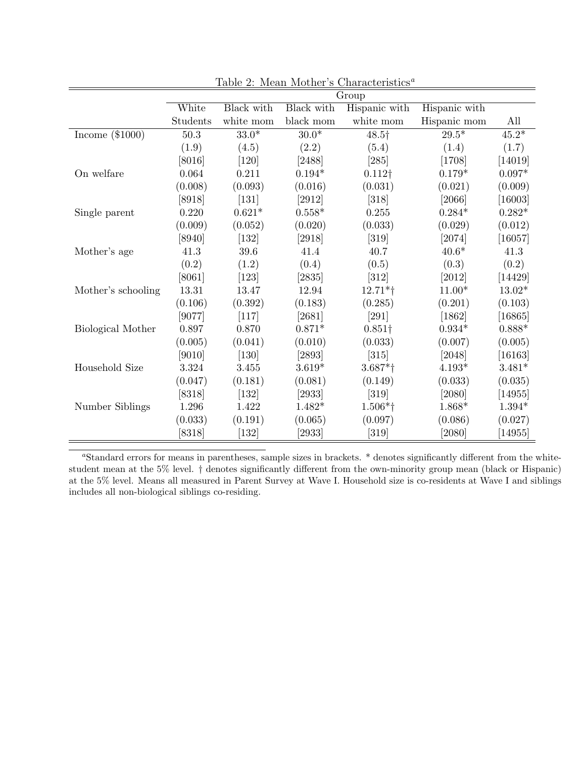|                    |          |            |                      | Group                 |               |                      |
|--------------------|----------|------------|----------------------|-----------------------|---------------|----------------------|
|                    | White    | Black with | Black with           | Hispanic with         | Hispanic with |                      |
|                    | Students | white mom  | black mom            | white mom             | Hispanic mom  | All                  |
| Income $(\$1000)$  | 50.3     | $33.0*$    | $30.0*$              | 48.5†                 | $29.5*$       | $45.2*$              |
|                    | (1.9)    | (4.5)      | (2.2)                | (5.4)                 | (1.4)         | (1.7)                |
|                    | [8016]   | $[120]$    | [2488]               | [285]                 | [1708]        | [14019]              |
| On welfare         | 0.064    | 0.211      | $0.194*$             | $0.112\dagger$        | $0.179*$      | $0.097*$             |
|                    | (0.008)  | (0.093)    | (0.016)              | (0.031)               | (0.021)       | (0.009)              |
|                    | $[8918]$ | $[131]$    | [2912]               | $[318]$               | [2066]        | [16003]              |
| Single parent      | 0.220    | $0.621*$   | $0.558*$             | 0.255                 | $0.284*$      | $0.282*$             |
|                    | (0.009)  | (0.052)    | (0.020)              | (0.033)               | (0.029)       | (0.012)              |
|                    | [8940]   | $[132]$    | [2918]               | $[319]$               | [2074]        | [16057]              |
| Mother's age       | 41.3     | 39.6       | 41.4                 | 40.7                  | $40.6*$       | 41.3                 |
|                    | (0.2)    | (1.2)      | (0.4)                | (0.5)                 | (0.3)         | (0.2)                |
|                    | [8061]   | $[123]$    | [2835]               | $[312]$               | $[2012]$      | $[14429]$            |
| Mother's schooling | 13.31    | 13.47      | 12.94                | $12.71*$ †            | $11.00*$      | $13.02*$             |
|                    | (0.106)  | (0.392)    | (0.183)              | (0.285)               | (0.201)       | (0.103)              |
|                    | [9077]   | $[117]$    | [2681]               | [291]                 | $[1862]$      | $[16865]$            |
| Biological Mother  | 0.897    | 0.870      | $0.871*$             | $0.851\dagger$        | $0.934*$      | $0.888*$             |
|                    | (0.005)  | (0.041)    | (0.010)              | (0.033)               | (0.007)       | (0.005)              |
|                    | [9010]   | $[130]$    | $[2893]$             | $[315]$               | [2048]        | [16163]              |
| Household Size     | 3.324    | 3.455      | $3.619*$             | $3.687*$ <sup>†</sup> | $4.193*$      | $3.481*$             |
|                    | (0.047)  | (0.181)    | (0.081)              | (0.149)               | (0.033)       | (0.035)              |
|                    | [8318]   | $[132]$    | $[2933]$             | $[319]$               | [2080]        | [14955]              |
| Number Siblings    | 1.296    | 1.422      | $1.482*$             | $1.506*$ <sup>†</sup> | 1.868*        | $1.394*$             |
|                    | (0.033)  | (0.191)    | (0.065)              | (0.097)               | (0.086)       | (0.027)              |
|                    | [8318]   | $[132]$    | $\left[ 2933\right]$ | $[319]$               | [2080]        | $\left[14955\right]$ |

Table 2: Mean Mother's Characteristics<sup>a</sup>

<sup>a</sup>Standard errors for means in parentheses, sample sizes in brackets. \* denotes significantly different from the whitestudent mean at the 5% level. † denotes significantly different from the own-minority group mean (black or Hispanic) at the 5% level. Means all measured in Parent Survey at Wave I. Household size is co-residents at Wave I and siblings includes all non-biological siblings co-residing.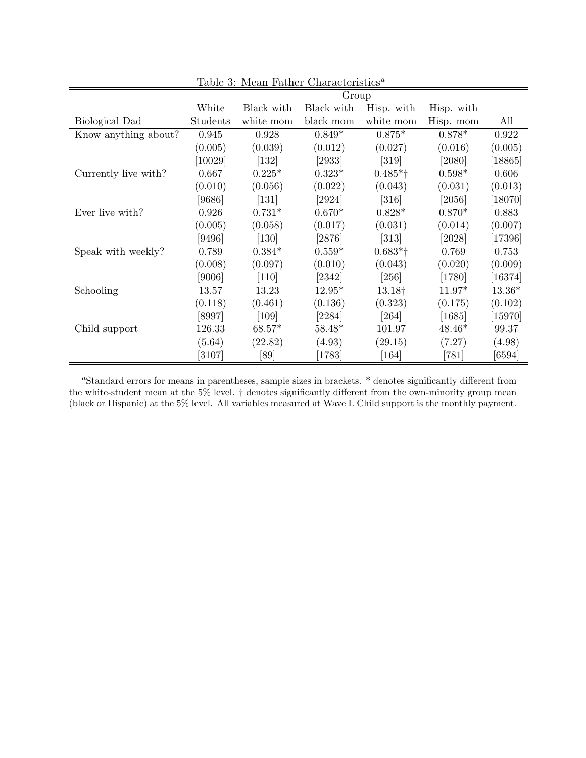|                      |                      |                    | Group               |                       |                     |           |
|----------------------|----------------------|--------------------|---------------------|-----------------------|---------------------|-----------|
|                      | White                | Black with         | Black with          | Hisp. with            | Hisp. with          |           |
| Biological Dad       | Students             | white mom          | black mom           | white mom             | Hisp. mom           | All       |
| Know anything about? | 0.945                | 0.928              | $0.849*$            | $0.875*$              | $0.878*$            | 0.922     |
|                      | (0.005)              | (0.039)            | (0.012)             | (0.027)               | (0.016)             | (0.005)   |
|                      | $\left[10029\right]$ | $[132]$            | $\left[2933\right]$ | [319]                 | $[2080]$            | [18865]   |
| Currently live with? | 0.667                | $0.225*$           | $0.323*$            | $0.485*$ <sup>†</sup> | $0.598*$            | 0.606     |
|                      | (0.010)              | (0.056)            | (0.022)             | (0.043)               | (0.031)             | (0.013)   |
|                      | [9686]               | $\left[131\right]$ | $[2924]$            | [316]                 | $\left[2056\right]$ | [18070]   |
| Ever live with?      | 0.926                | $0.731*$           | $0.670*$            | $0.828*$              | $0.870*$            | 0.883     |
|                      | (0.005)              | (0.058)            | (0.017)             | (0.031)               | (0.014)             | (0.007)   |
|                      | [9496]               | [130]              | [2876]              | [313]                 | $[2028]$            | [17396]   |
| Speak with weekly?   | 0.789                | $0.384*$           | $0.559*$            | $0.683*$ <sup>†</sup> | 0.769               | 0.753     |
|                      | (0.008)              | (0.097)            | (0.010)             | (0.043)               | (0.020)             | (0.009)   |
|                      | [9006]               | $[110]$            | $[2342]$            | [256]                 | $[1780]$            | $[16374]$ |
| Schooling            | 13.57                | 13.23              | $12.95*$            | 13.18†                | $11.97*$            | $13.36*$  |
|                      | (0.118)              | (0.461)            | (0.136)             | (0.323)               | (0.175)             | (0.102)   |
|                      | [8997]               | [109]              | $[2284]$            | [264]                 | [1685]              | $[15970]$ |
| Child support        | 126.33               | $68.57*$           | $58.48*$            | 101.97                | $48.46*$            | 99.37     |
|                      | (5.64)               | (22.82)            | (4.93)              | (29.15)               | (7.27)              | (4.98)    |
|                      | [3107]               | [89]               | 1783                | $\left[164\right]$    | [781]               | [6594]    |

Table 3: Mean Father Characteristics<sup>a</sup>

<sup>a</sup>Standard errors for means in parentheses, sample sizes in brackets. \* denotes significantly different from the white-student mean at the 5% level. † denotes significantly different from the own-minority group mean (black or Hispanic) at the 5% level. All variables measured at Wave I. Child support is the monthly payment.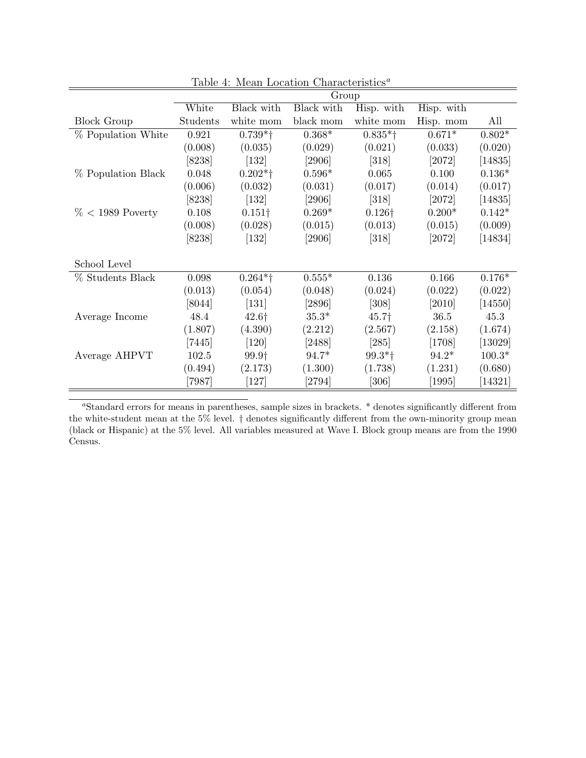|                     |          |                               | Group               |                       |            |                      |
|---------------------|----------|-------------------------------|---------------------|-----------------------|------------|----------------------|
|                     | White    | Black with                    | Black with          | Hisp. with            | Hisp. with |                      |
| <b>Block Group</b>  | Students | white mom                     | black mom           | white mom             | Hisp. mom  | All                  |
| % Population White  | 0.921    | $0.739*$ <sup>+</sup>         | $0.368*$            | $0.835*$ <sup>†</sup> | $0.671*$   | $0.802*$             |
|                     | (0.008)  | (0.035)                       | (0.029)             | (0.021)               | (0.033)    | (0.020)              |
|                     | $[8238]$ | $[132]$                       | [2906]              | $[318]$               | [2072]     | [14835]              |
| % Population Black  | 0.048    | $0.202*$ †                    | $0.596*$            | 0.065                 | 0.100      | $0.136*$             |
|                     | (0.006)  | (0.032)                       | (0.031)             | (0.017)               | (0.014)    | (0.017)              |
|                     | $[8238]$ | [132]                         | [2906]              | [318]                 | [2072]     | $\left[14835\right]$ |
| $\% < 1989$ Poverty | 0.108    | $0.151\dagger$                | $0.269*$            | $0.126\dagger$        | $0.200*$   | $0.142*$             |
|                     | (0.008)  | (0.028)                       | (0.015)             | (0.013)               | (0.015)    | (0.009)              |
|                     | [8238]   | $[132]$                       | $\left[2906\right]$ | [318]                 | $[2072]$   | [14834]              |
|                     |          |                               |                     |                       |            |                      |
| School Level        |          |                               |                     |                       |            |                      |
| % Students Black    | 0.098    | $0.264*$ <sup>†</sup>         | $0.555*$            | 0.136                 | 0.166      | $0.176*$             |
|                     | (0.013)  | (0.054)                       | (0.048)             | (0.024)               | (0.022)    | (0.022)              |
|                     | [8044]   | $\left[131\right]$            | [2896]              | [308]                 | [2010]     | $[14550]$            |
| Average Income      | 48.4     | 42.6†                         | $35.3*$             | 45.7 <sup>†</sup>     | 36.5       | 45.3                 |
|                     | (1.807)  | (4.390)                       | (2.212)             | (2.567)               | (2.158)    | (1.674)              |
|                     | $[7445]$ | $[120]$                       | [2488]              | [285]                 | $[1708]$   | [13029]              |
| Average AHPVT       | 102.5    | 99.9 <sup>+</sup>             | $94.7*$             | $99.3*$ <sup>†</sup>  | $94.2*$    | $100.3*$             |
|                     | (0.494)  | (2.173)                       | (1.300)             | (1.738)               | (1.231)    | (0.680)              |
|                     | [7987]   | $\left\lceil 127\right\rceil$ | [2794]              | [306]                 | [1995]     | $\left[14321\right]$ |

Table 4: Mean Location Characteristics<sup>a</sup>

<sup>a</sup>Standard errors for means in parentheses, sample sizes in brackets. \* denotes significantly different from the white-student mean at the 5% level. † denotes significantly different from the own-minority group mean (black or Hispanic) at the 5% level. All variables measured at Wave I. Block group means are from the 1990 Census.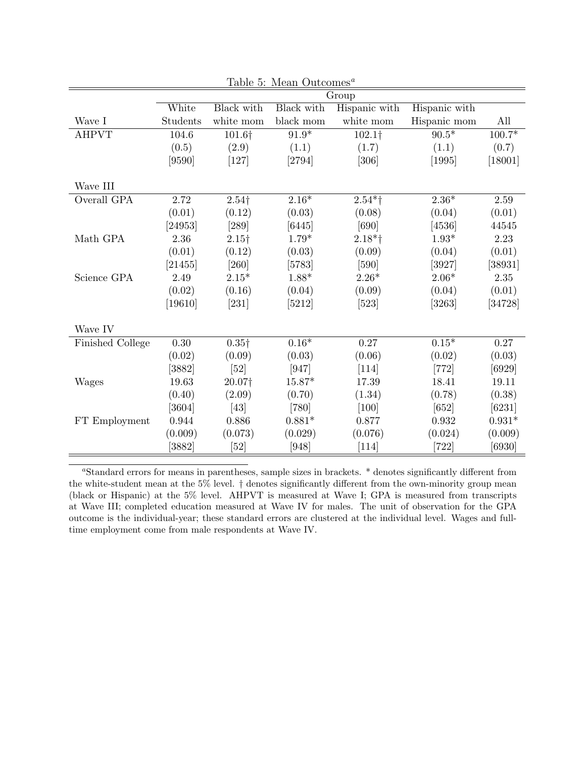|                  |                      |                     | Table 5: Mean Outcomes <sup>a</sup> |               |               |          |
|------------------|----------------------|---------------------|-------------------------------------|---------------|---------------|----------|
|                  |                      |                     |                                     | Group         |               |          |
|                  | White                | Black with          | Black with                          | Hispanic with | Hispanic with |          |
| Wave I           | Students             | white mom           | black mom                           | white mom     | Hispanic mom  | All      |
| <b>AHPVT</b>     | 104.6                | 101.6†              | $91.9*$                             | 102.1†        | $90.5*$       | $100.7*$ |
|                  | (0.5)                | (2.9)               | (1.1)                               | (1.7)         | (1.1)         | (0.7)    |
|                  | [9590]               | $[127]$             | [2794]                              | $[306]$       | [1995]        | [18001]  |
|                  |                      |                     |                                     |               |               |          |
| Wave III         |                      |                     |                                     |               |               |          |
| Overall GPA      | 2.72                 | $2.54$ <sup>+</sup> | $2.16*$                             | $2.54*$ †     | $2.36*$       | 2.59     |
|                  | (0.01)               | (0.12)              | (0.03)                              | (0.08)        | (0.04)        | (0.01)   |
|                  | [24953]              | $[289]$             | [6445]                              | [690]         | [4536]        | 44545    |
| Math GPA         | 2.36                 | 2.15 <sup>†</sup>   | $1.79*$                             | $2.18*$ †     | $1.93*$       | 2.23     |
|                  | (0.01)               | (0.12)              | (0.03)                              | (0.09)        | (0.04)        | (0.01)   |
|                  | [21455]              | $[260]$             | [5783]                              | $[590]$       | [3927]        | [38931]  |
| Science GPA      | 2.49                 | $2.15*$             | $1.88*$                             | $2.26*$       | $2.06*$       | $2.35\,$ |
|                  | (0.02)               | (0.16)              | (0.04)                              | (0.09)        | (0.04)        | (0.01)   |
|                  | [19610]              | $[231]$             | [5212]                              | $[523]$       | [3263]        | [34728]  |
| Wave IV          |                      |                     |                                     |               |               |          |
| Finished College | 0.30                 | $0.35\dagger$       | $0.16*$                             | 0.27          | $0.15*$       | 0.27     |
|                  | (0.02)               | (0.09)              | (0.03)                              | (0.06)        | (0.02)        | (0.03)   |
|                  | $\left[ 3882\right]$ | [52]                | [947]                               | $[114]$       | $[772]$       | $[6929]$ |
| Wages            | 19.63                | 20.07†              | $15.87*$                            | 17.39         | 18.41         | 19.11    |
|                  | (0.40)               | (2.09)              | (0.70)                              | (1.34)        | (0.78)        | (0.38)   |
|                  | $\left[3604\right]$  | [43]                | $[780]$                             | $[100]$       | $[652]$       | $[6231]$ |
| FT Employment    | 0.944                | 0.886               | $0.881*$                            | 0.877         | 0.932         | $0.931*$ |
|                  | (0.009)              | (0.073)             | (0.029)                             | (0.076)       | (0.024)       | (0.009)  |
|                  | $[3882]$             | [52]                | $[948]$                             | $[114]$       | $[722]$       | $[6930]$ |

<sup>a</sup>Standard errors for means in parentheses, sample sizes in brackets. \* denotes significantly different from the white-student mean at the 5% level. † denotes significantly different from the own-minority group mean (black or Hispanic) at the 5% level. AHPVT is measured at Wave I; GPA is measured from transcripts at Wave III; completed education measured at Wave IV for males. The unit of observation for the GPA outcome is the individual-year; these standard errors are clustered at the individual level. Wages and fulltime employment come from male respondents at Wave IV.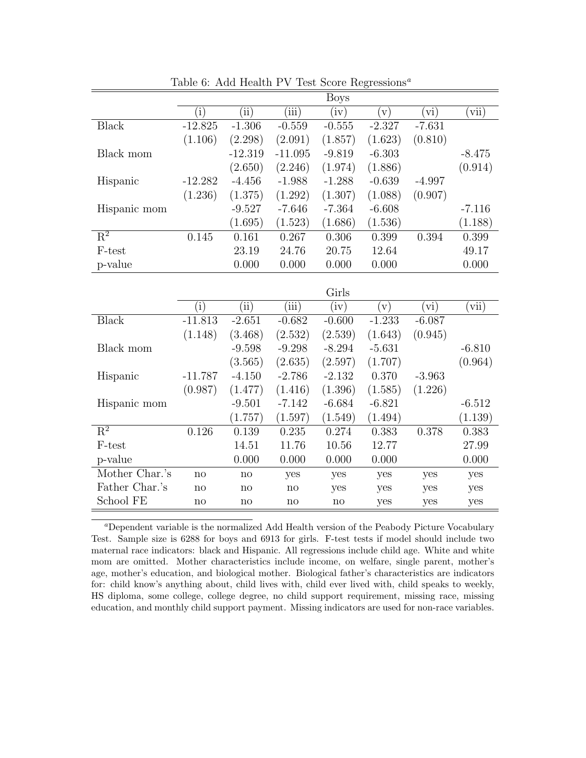|              |               |                    |           | Boys     |          |           |                         |
|--------------|---------------|--------------------|-----------|----------|----------|-----------|-------------------------|
|              | $\mathbf{ii}$ | $\hat{\mathbf{u}}$ | (iii)     | (iv)     | V)       | $\dot{v}$ | $\overline{\text{vii}}$ |
| Black        | $-12.825$     | $-1.306$           | $-0.559$  | $-0.555$ | $-2.327$ | $-7.631$  |                         |
|              | (1.106)       | (2.298)            | (2.091)   | (1.857)  | (1.623)  | (0.810)   |                         |
| Black mom    |               | $-12.319$          | $-11.095$ | $-9.819$ | $-6.303$ |           | $-8.475$                |
|              |               | (2.650)            | (2.246)   | (1.974)  | (1.886)  |           | (0.914)                 |
| Hispanic     | $-12.282$     | $-4.456$           | $-1.988$  | $-1.288$ | $-0.639$ | $-4.997$  |                         |
|              | (1.236)       | (1.375)            | (1.292)   | (1.307)  | (1.088)  | (0.907)   |                         |
| Hispanic mom |               | $-9.527$           | $-7.646$  | $-7.364$ | $-6.608$ |           | $-7.116$                |
|              |               | (1.695)            | (1.523)   | (1.686)  | (1.536)  |           | (1.188)                 |
| $R^2$        | 0.145         | 0.161              | 0.267     | 0.306    | 0.399    | 0.394     | 0.399                   |
| F-test       |               | 23.19              | 24.76     | 20.75    | 12.64    |           | 49.17                   |
| p-value      |               | 0.000              | 0.000     | 0.000    | 0.000    |           | 0.000                   |
|              |               |                    |           |          |          |           |                         |

Table 6: Add Health PV Test Score Regressions<sup>a</sup>

|                           |              |                        |          | Girls    |          |          |          |
|---------------------------|--------------|------------------------|----------|----------|----------|----------|----------|
|                           | $\rm(i)$     | $\rm ii)$              | (iii)    | (iv)     | V)       | (vi)     | (vii)    |
| <b>Black</b>              | $-11.813$    | $-2.651$               | $-0.682$ | $-0.600$ | $-1.233$ | $-6.087$ |          |
|                           | (1.148)      | (3.468)                | (2.532)  | (2.539)  | (1.643)  | (0.945)  |          |
| Black mom                 |              | $-9.598$               | $-9.298$ | $-8.294$ | $-5.631$ |          | $-6.810$ |
|                           |              | (3.565)                | (2.635)  | (2.597)  | (1.707)  |          | (0.964)  |
| Hispanic                  | $-11.787$    | $-4.150$               | $-2.786$ | $-2.132$ | 0.370    | $-3.963$ |          |
|                           | (0.987)      | (1.477)                | (1.416)  | (1.396)  | (1.585)  | (1.226)  |          |
| Hispanic mom              |              | $-9.501$               | $-7.142$ | $-6.684$ | $-6.821$ |          | $-6.512$ |
|                           |              | (1.757)                | (1.597)  | (1.549)  | (1.494)  |          | (1.139)  |
| $\overline{\mathrm{R}^2}$ | 0.126        | 0.139                  | 0.235    | 0.274    | 0.383    | 0.378    | 0.383    |
| F-test                    |              | 14.51                  | 11.76    | 10.56    | 12.77    |          | 27.99    |
| p-value                   |              | 0.000                  | 0.000    | 0.000    | 0.000    |          | 0.000    |
| Mother Char.'s            | $\mathbf{n}$ | $\mathbf{n}$           | yes      | yes      | yes      | yes      | yes      |
| Father Char.'s            | $\mathbf{n}$ | $\mathbf{n}$           | no       | yes      | yes      | yes      | yes      |
| School FE                 | no           | $\mathbf{n}\mathbf{o}$ | no       | no       | yes      | yes      | yes      |

<sup>a</sup>Dependent variable is the normalized Add Health version of the Peabody Picture Vocabulary Test. Sample size is 6288 for boys and 6913 for girls. F-test tests if model should include two maternal race indicators: black and Hispanic. All regressions include child age. White and white mom are omitted. Mother characteristics include income, on welfare, single parent, mother's age, mother's education, and biological mother. Biological father's characteristics are indicators for: child know's anything about, child lives with, child ever lived with, child speaks to weekly, HS diploma, some college, college degree, no child support requirement, missing race, missing education, and monthly child support payment. Missing indicators are used for non-race variables.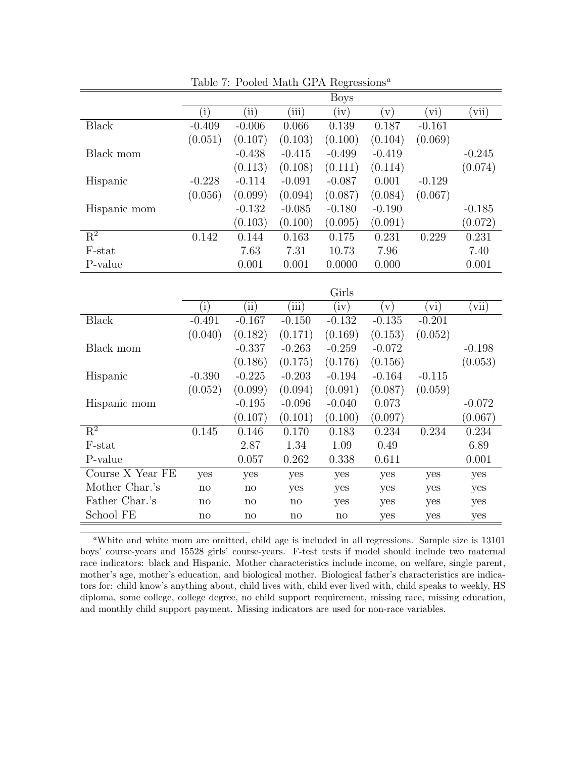|              |          |          |          | <b>Boys</b> |               |                 |          |
|--------------|----------|----------|----------|-------------|---------------|-----------------|----------|
|              | $\rm(i)$ | (iii)    | (iii)    | (iv)        | $\mathbf{v})$ | (vi)            | (vii)    |
| <b>Black</b> | $-0.409$ | $-0.006$ | 0.066    | 0.139       | 0.187         | $-0.161$        |          |
|              | (0.051)  | (0.107)  | (0.103)  | (0.100)     | (0.104)       | (0.069)         |          |
| Black mom    |          | $-0.438$ | $-0.415$ | $-0.499$    | $-0.419$      |                 | $-0.245$ |
|              |          | (0.113)  | (0.108)  | (0.111)     | (0.114)       |                 | (0.074)  |
| Hispanic     | $-0.228$ | $-0.114$ | $-0.091$ | $-0.087$    | 0.001         | $-0.129$        |          |
|              | (0.056)  | (0.099)  | (0.094)  | (0.087)     | (0.084)       | (0.067)         |          |
| Hispanic mom |          | $-0.132$ | $-0.085$ | $-0.180$    | $-0.190$      |                 | $-0.185$ |
|              |          | (0.103)  | (0.100)  | (0.095)     | (0.091)       |                 | (0.072)  |
| $R^2$        | 0.142    | 0.144    | 0.163    | 0.175       | 0.231         | 0.229           | 0.231    |
| F-stat       |          | 7.63     | 7.31     | 10.73       | 7.96          |                 | 7.40     |
| P-value      |          | 0.001    | 0.001    | 0.0000      | 0.000         |                 | 0.001    |
|              |          |          |          |             |               |                 |          |
|              |          |          |          | Girls       |               |                 |          |
|              | $\rm(i)$ | (ii)     | (iii)    | (iv)        | V)            | $\mathbf{v}$ i) | (vii)    |
| <b>Black</b> | $-0.491$ | $-0.167$ | $-0.150$ | $-0.132$    | $-0.135$      | $-0.201$        |          |
|              | (0.040)  | (0.182)  | (0.171)  | (0.169)     | (0.153)       | (0.052)         |          |
| Black mom    |          | $-0.337$ | $-0.263$ | $-0.259$    | $-0.072$      |                 | $-0.198$ |
|              |          | (0.186)  | (0.175)  | (0.176)     | (0.156)       |                 | (0.053)  |
| Hispanic     | $-0.390$ | $-0.225$ | $-0.203$ | $-0.194$    | $-0.164$      | $-0.115$        |          |
|              | (0.052)  | (0.000)  | (0.001)  | (0.001)     | (0.097)       | (0.050)         |          |

Table 7: Pooled Math GPA Regressions<sup> $a$ </sup>

|                           |                        |                        |          | Girls                  |          |                 |          |
|---------------------------|------------------------|------------------------|----------|------------------------|----------|-----------------|----------|
|                           | $\left( 1\right)$      | $\rm ii)$              | (iii)    | (iv)                   | V)       | $\mathbf{v}$ i) | vii)     |
| <b>Black</b>              | $-0.491$               | $-0.167$               | $-0.150$ | $-0.132$               | $-0.135$ | $-0.201$        |          |
|                           | (0.040)                | (0.182)                | (0.171)  | (0.169)                | (0.153)  | (0.052)         |          |
| Black mom                 |                        | $-0.337$               | $-0.263$ | $-0.259$               | $-0.072$ |                 | $-0.198$ |
|                           |                        | (0.186)                | (0.175)  | (0.176)                | (0.156)  |                 | (0.053)  |
| Hispanic                  | $-0.390$               | $-0.225$               | $-0.203$ | $-0.194$               | $-0.164$ | $-0.115$        |          |
|                           | (0.052)                | (0.099)                | (0.094)  | (0.091)                | (0.087)  | (0.059)         |          |
| Hispanic mom              |                        | $-0.195$               | $-0.096$ | $-0.040$               | 0.073    |                 | $-0.072$ |
|                           |                        | (0.107)                | (0.101)  | (0.100)                | (0.097)  |                 | (0.067)  |
| $\overline{\mathrm{R}^2}$ | 0.145                  | 0.146                  | 0.170    | 0.183                  | 0.234    | 0.234           | 0.234    |
| F-stat                    |                        | 2.87                   | 1.34     | 1.09                   | 0.49     |                 | 6.89     |
| P-value                   |                        | 0.057                  | 0.262    | 0.338                  | 0.611    |                 | 0.001    |
| Course X Year FE          | yes                    | yes                    | yes      | yes                    | yes      | yes             | yes      |
| Mother Char.'s            | $\mathbf{n}$           | no                     | yes      | yes                    | yes      | yes             | yes      |
| Father Char.'s            | $\mathbf{n}\mathbf{o}$ | $\mathbf{n}\mathbf{o}$ | no       | yes                    | yes      | yes             | yes      |
| School FE                 | no                     | no                     | no       | $\mathbf{n}\mathbf{o}$ | yes      | yes             | yes      |

<sup>a</sup>White and white mom are omitted, child age is included in all regressions. Sample size is 13101 boys' course-years and 15528 girls' course-years. F-test tests if model should include two maternal race indicators: black and Hispanic. Mother characteristics include income, on welfare, single parent, mother's age, mother's education, and biological mother. Biological father's characteristics are indicators for: child know's anything about, child lives with, child ever lived with, child speaks to weekly, HS diploma, some college, college degree, no child support requirement, missing race, missing education, and monthly child support payment. Missing indicators are used for non-race variables.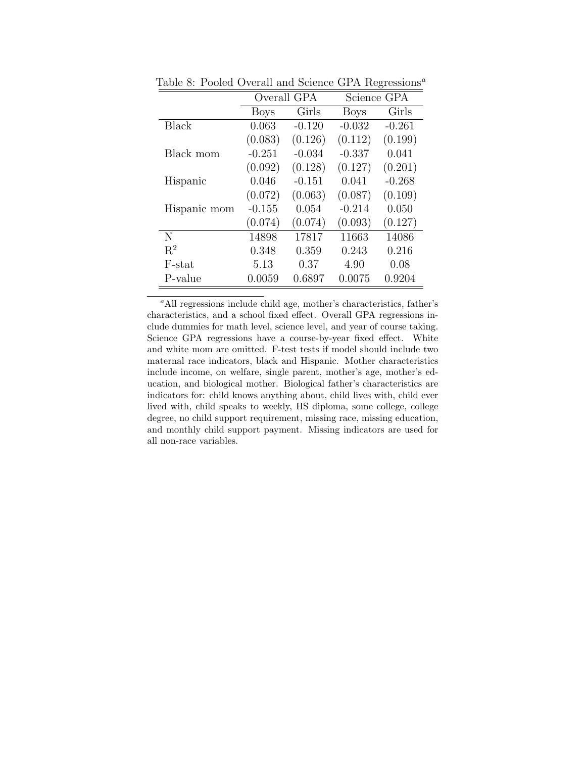|                |             | Overall GPA |             | Science GPA |
|----------------|-------------|-------------|-------------|-------------|
|                | <b>Boys</b> | Girls       | <b>Boys</b> | Girls       |
| <b>Black</b>   | 0.063       | $-0.120$    | $-0.032$    | $-0.261$    |
|                | (0.083)     | (0.126)     | (0.112)     | (0.199)     |
| Black mom      | $-0.251$    | $-0.034$    | $-0.337$    | 0.041       |
|                | (0.092)     | (0.128)     | (0.127)     | (0.201)     |
| Hispanic       | 0.046       | $-0.151$    | 0.041       | $-0.268$    |
|                | (0.072)     | (0.063)     | (0.087)     | (0.109)     |
| Hispanic mom   | $-0.155$    | 0.054       | $-0.214$    | 0.050       |
|                | (0.074)     | (0.074)     | (0.093)     | (0.127)     |
| N              | 14898       | 17817       | 11663       | 14086       |
| $\mathbf{R}^2$ | 0.348       | 0.359       | 0.243       | 0.216       |
| F-stat         | 5.13        | 0.37        | 4.90        | 0.08        |
| P-value        | 0.0059      | 0.6897      | 0.0075      | 0.9204      |

Table 8: Pooled Overall and Science GPA Regressions<sup>a</sup>

<sup>a</sup>All regressions include child age, mother's characteristics, father's characteristics, and a school fixed effect. Overall GPA regressions include dummies for math level, science level, and year of course taking. Science GPA regressions have a course-by-year fixed effect. White and white mom are omitted. F-test tests if model should include two maternal race indicators, black and Hispanic. Mother characteristics include income, on welfare, single parent, mother's age, mother's education, and biological mother. Biological father's characteristics are indicators for: child knows anything about, child lives with, child ever lived with, child speaks to weekly, HS diploma, some college, college degree, no child support requirement, missing race, missing education, and monthly child support payment. Missing indicators are used for all non-race variables.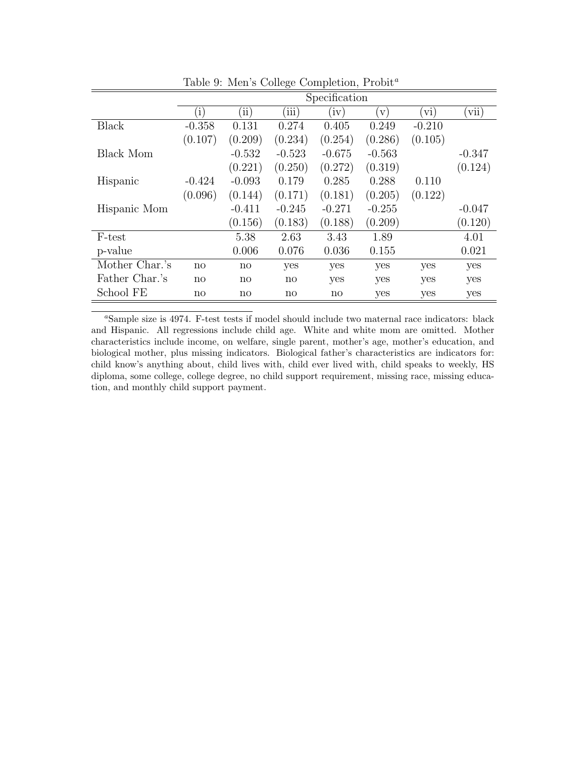|                  |              |                        |                  | Specification          |               |             |                         |
|------------------|--------------|------------------------|------------------|------------------------|---------------|-------------|-------------------------|
|                  | $\rm(i)$     | 'ii)                   | $\overline{iii}$ | (iv)                   | $\mathbf{v})$ | $\rm{vi}$ ) | $\overline{\text{vii}}$ |
| Black            | $-0.358$     | 0.131                  | 0.274            | 0.405                  | 0.249         | $-0.210$    |                         |
|                  | (0.107)      | (0.209)                | (0.234)          | (0.254)                | (0.286)       | (0.105)     |                         |
| <b>Black Mom</b> |              | $-0.532$               | $-0.523$         | $-0.675$               | $-0.563$      |             | $-0.347$                |
|                  |              | (0.221)                | (0.250)          | (0.272)                | (0.319)       |             | (0.124)                 |
| Hispanic         | $-0.424$     | $-0.093$               | 0.179            | 0.285                  | 0.288         | 0.110       |                         |
|                  | (0.096)      | (0.144)                | (0.171)          | (0.181)                | (0.205)       | (0.122)     |                         |
| Hispanic Mom     |              | $-0.411$               | $-0.245$         | $-0.271$               | $-0.255$      |             | $-0.047$                |
|                  |              | (0.156)                | (0.183)          | (0.188)                | (0.209)       |             | (0.120)                 |
| F-test           |              | 5.38                   | 2.63             | 3.43                   | 1.89          |             | 4.01                    |
| p-value          |              | 0.006                  | 0.076            | 0.036                  | 0.155         |             | 0.021                   |
| Mother Char.'s   | $\mathbf{n}$ | $\mathbf{n}$           | yes              | yes                    | yes           | yes         | yes                     |
| Father Char.'s   | $\mathbf{n}$ | $\mathbf{n}$           | no               | yes                    | yes           | yes         | yes                     |
| School FE        | no           | $\mathbf{n}\mathbf{o}$ | no               | $\mathbf{n}\mathbf{o}$ | yes           | yes         | yes                     |

Table 9: Men's College Completion, Probit<sup>a</sup>

<sup>a</sup>Sample size is 4974. F-test tests if model should include two maternal race indicators: black and Hispanic. All regressions include child age. White and white mom are omitted. Mother characteristics include income, on welfare, single parent, mother's age, mother's education, and biological mother, plus missing indicators. Biological father's characteristics are indicators for: child know's anything about, child lives with, child ever lived with, child speaks to weekly, HS diploma, some college, college degree, no child support requirement, missing race, missing education, and monthly child support payment.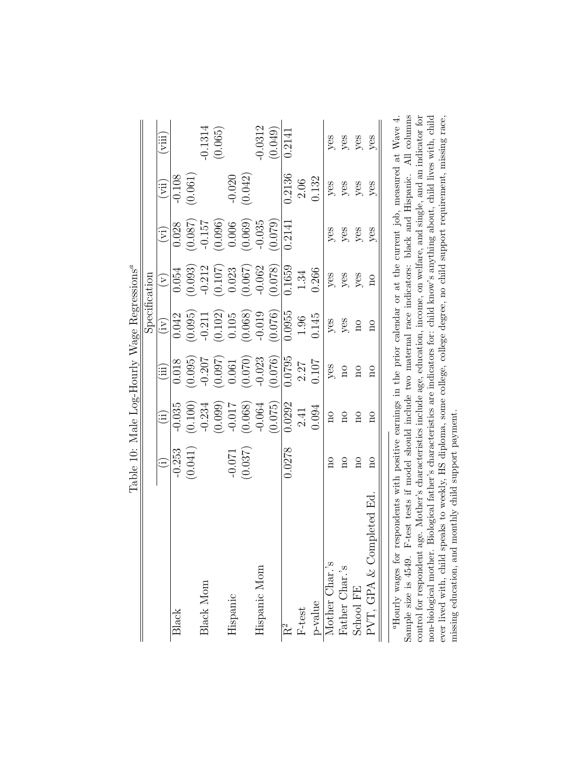|                                                                                                                         | Tanie Iniani Villand Village Instruction |                         |                         |                            |                         |                            |          |                         |
|-------------------------------------------------------------------------------------------------------------------------|------------------------------------------|-------------------------|-------------------------|----------------------------|-------------------------|----------------------------|----------|-------------------------|
|                                                                                                                         |                                          |                         |                         |                            | $S$ pecification        |                            |          |                         |
|                                                                                                                         |                                          | $\widetilde{\Xi}$       | ίij                     | $\left(\mathrm{iv}\right)$ | $\widetilde{\Sigma}$    | $\left[\tilde{\Xi}\right]$ | (iii)    | $\overline{\mathbb{Z}}$ |
| Black                                                                                                                   | $-0.253$                                 | $-0.035$                | 0.018                   | 0.042                      | 0.054                   | 0.028                      | $-0.108$ |                         |
|                                                                                                                         | (0.041)                                  | (0.100)                 | (0.095)                 | (0.095)                    | (0.093)                 | (780.0)                    | (0.061)  |                         |
| Black Mom                                                                                                               |                                          | $-0.234$                | $-0.207$                | $-0.211$                   | $-0.212$                | $-0.157$                   |          | $-0.1314$               |
|                                                                                                                         |                                          | (0.099)                 | (760.0)                 | (0.102)                    | (0.107)                 | (0.096)                    |          | (0.065)                 |
| Hispanic                                                                                                                | $-0.071$                                 | $-0.017$                | 0.061                   | 0.105                      | 0.023                   | 0.006                      | $-0.020$ |                         |
|                                                                                                                         | (0.037)                                  | (0.068)                 | (0.070)                 | (0.068)                    | (790.0)                 | (0.069)                    | (0.042)  |                         |
| Hispanic Mom                                                                                                            |                                          | $-0.064$                | $-0.023$                | $-0.019$                   | $-0.062$                | $-0.035$                   |          | $-0.0312$               |
|                                                                                                                         |                                          | (0.075)                 | (0.076)                 | (0.076)                    | (0.078)                 | (0.079)                    |          | (0.049)                 |
| R <sup>2</sup>                                                                                                          | 0.0278                                   | 0.0292                  | 0.0795                  | 0.0955                     | 0.1659                  | 0.2141                     | 0.2136   | 0.2141                  |
| $_{\rm F-test}$                                                                                                         |                                          | 2.41                    | 2.27                    | 1.96                       | 1.34                    |                            | 2.06     |                         |
| p-value                                                                                                                 |                                          | 0.094                   | 0.107                   | 0.145                      | 0.266                   |                            | 0.132    |                         |
| Mother Char.'s                                                                                                          | $\alpha$                                 | $\overline{\text{no}}$  | yes                     | yes                        | yes                     | yes                        | yes      | yes                     |
| Father Char.'s                                                                                                          | $\frac{1}{2}$                            | $\overline{\mathrm{m}}$ | $\overline{\mathbf{n}}$ | yes                        | yes                     | yes                        | $y$ es   | $y$ es                  |
| School FE                                                                                                               | $\overline{n}$                           | Ωű                      | $\overline{\mathrm{n}}$ | $\overline{\text{no}}$     | yes                     | $y$ es                     | yes      | yes                     |
| PVT, GPA & Completed Ed                                                                                                 | $\overline{\mathbf{a}}$                  | $\overline{\mathrm{n}}$ | $\overline{a}$          | $\overline{a}$             | $\overline{\mathbf{n}}$ | yes                        | yes      | yes                     |
| respondents with positive earnings in the prior calendar or at the current job, measured at Wave 4<br>"Hourly wages for |                                          |                         |                         |                            |                         |                            |          |                         |

Table 10: Male Log-Hourly Wage Regressions<sup>a</sup> Table 10: Male Log-Hourly Wage Regressions $^a$ 

Sample size is 4549. F-test tests if model should include two maternal race indicators: black and Hispanic. All columns control for respondent age. Mother's characteristics include age, education, income, on welfare, and single, and an indicator for<br>non-biological mother. Biological father's characteristics are indicators for: child know's ever lived with, child speaks to weekly, HS diploma, some college, college degree, no child support requirement, missing race, missing race, ensing the monthly child support payment. aHourly wages for respondents with positive earnings in the prior calendar or at the current job, measured at Wave 4. Sample size is 4549. F-test tests if model should include two maternal race indicators: black and Hispanic. All columns control for respondent age. Mother's characteristics include age, education, income, on welfare, and single, and an indicator for non-biological mother. Biological father's characteristics are indicators for: child know's anything about, child lives with, child ever lived with, child speaks to weekly, HS diploma, some college, college degree, no child support requirement, missing race, missing education, and monthly child support payment.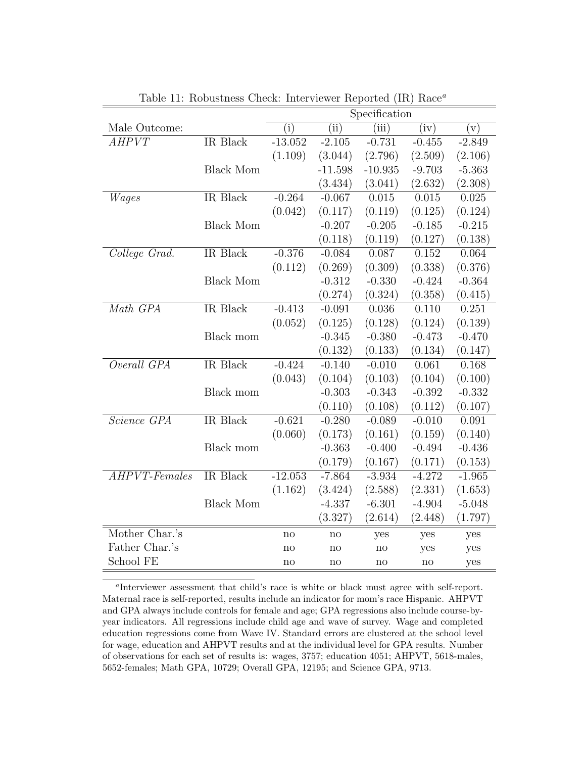|                 |                  | Specification           |           |           |                    |           |  |
|-----------------|------------------|-------------------------|-----------|-----------|--------------------|-----------|--|
| Male Outcome:   |                  | $\overline{(\text{i})}$ | (iii)     | (iii)     | $\bar{{\rm (iv)}}$ | $(\rm v)$ |  |
| AHPVT           | IR Black         | $-13.052$               | $-2.105$  | $-0.731$  | $-0.455$           | $-2.849$  |  |
|                 |                  | (1.109)                 | (3.044)   | (2.796)   | (2.509)            | (2.106)   |  |
|                 | <b>Black Mom</b> |                         | $-11.598$ | $-10.935$ | $-9.703$           | $-5.363$  |  |
|                 |                  |                         | (3.434)   | (3.041)   | (2.632)            | (2.308)   |  |
| Wages           | IR Black         | $-0.264$                | $-0.067$  | 0.015     | 0.015              | 0.025     |  |
|                 |                  | (0.042)                 | (0.117)   | (0.119)   | (0.125)            | (0.124)   |  |
|                 | <b>Black Mom</b> |                         | $-0.207$  | $-0.205$  | $-0.185$           | $-0.215$  |  |
|                 |                  |                         | (0.118)   | (0.119)   | (0.127)            | (0.138)   |  |
| College Grad.   | IR Black         | $-0.376$                | $-0.084$  | 0.087     | 0.152              | 0.064     |  |
|                 |                  | (0.112)                 | (0.269)   | (0.309)   | (0.338)            | (0.376)   |  |
|                 | <b>Black Mom</b> |                         | $-0.312$  | $-0.330$  | $-0.424$           | $-0.364$  |  |
|                 |                  |                         | (0.274)   | (0.324)   | (0.358)            | (0.415)   |  |
| Math GPA        | IR Black         | $-0.413$                | $-0.091$  | 0.036     | 0.110              | 0.251     |  |
|                 |                  | (0.052)                 | (0.125)   | (0.128)   | (0.124)            | (0.139)   |  |
|                 | Black mom        |                         | $-0.345$  | $-0.380$  | $-0.473$           | $-0.470$  |  |
|                 |                  |                         | (0.132)   | (0.133)   | (0.134)            | (0.147)   |  |
| Overall GPA     | IR Black         | $-0.424$                | $-0.140$  | $-0.010$  | 0.061              | 0.168     |  |
|                 |                  | (0.043)                 | (0.104)   | (0.103)   | (0.104)            | (0.100)   |  |
|                 | Black mom        |                         | $-0.303$  | $-0.343$  | $-0.392$           | $-0.332$  |  |
|                 |                  |                         | (0.110)   | (0.108)   | (0.112)            | (0.107)   |  |
| Science GPA     | <b>IR</b> Black  | $-0.621$                | $-0.280$  | $-0.089$  | $-0.010$           | 0.091     |  |
|                 |                  | (0.060)                 | (0.173)   | (0.161)   | (0.159)            | (0.140)   |  |
|                 | Black mom        |                         | $-0.363$  | $-0.400$  | $-0.494$           | $-0.436$  |  |
|                 |                  |                         | (0.179)   | (0.167)   | (0.171)            | (0.153)   |  |
| $AHPVT-Females$ | IR Black         | $-12.053$               | $-7.864$  | $-3.934$  | $-4.272$           | $-1.965$  |  |
|                 |                  | (1.162)                 | (3.424)   | (2.588)   | (2.331)            | (1.653)   |  |
|                 | <b>Black Mom</b> |                         | $-4.337$  | $-6.301$  | $-4.904$           | $-5.048$  |  |
|                 |                  |                         | (3.327)   | (2.614)   | (2.448)            | (1.797)   |  |
| Mother Char.'s  |                  | no                      | no        | yes       | yes                | yes       |  |
| Father Char.'s  |                  | $\mathbf{n}$            | no        | no        | yes                | yes       |  |
| School FE       |                  | no                      | no        | no        | no                 | yes       |  |

Table 11: Robustness Check: Interviewer Reported (IR) Race<sup>a</sup>

a Interviewer assessment that child's race is white or black must agree with self-report. Maternal race is self-reported, results include an indicator for mom's race Hispanic. AHPVT and GPA always include controls for female and age; GPA regressions also include course-byyear indicators. All regressions include child age and wave of survey. Wage and completed education regressions come from Wave IV. Standard errors are clustered at the school level for wage, education and AHPVT results and at the individual level for GPA results. Number of observations for each set of results is: wages, 3757; education 4051; AHPVT, 5618-males, 5652-females; Math GPA, 10729; Overall GPA, 12195; and Science GPA, 9713.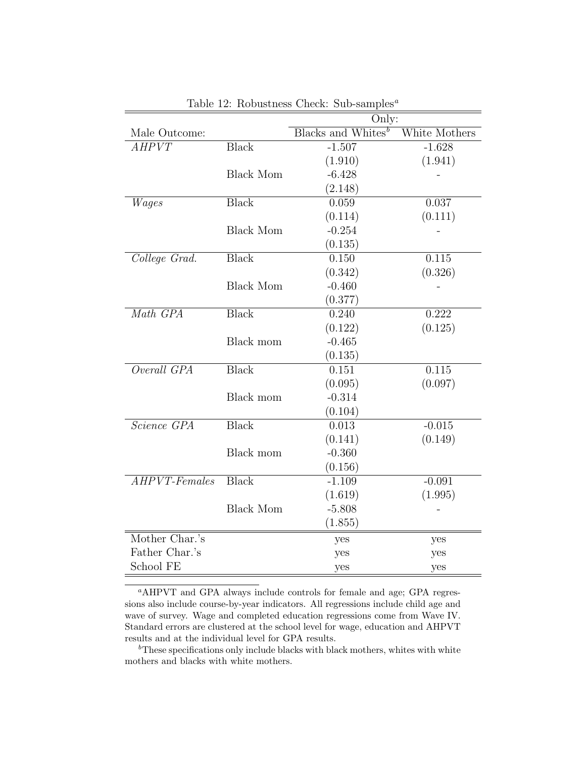|                                   |                  | Only:                            |               |
|-----------------------------------|------------------|----------------------------------|---------------|
| Male Outcome:                     |                  | $Blacks$ and Whites <sup>b</sup> | White Mothers |
| AHPVT                             | <b>Black</b>     | $-1.507$                         | $-1.628$      |
|                                   |                  | (1.910)                          | (1.941)       |
|                                   | <b>Black Mom</b> | $-6.428$                         |               |
|                                   |                  | (2.148)                          |               |
| Wages                             | <b>Black</b>     | 0.059                            | 0.037         |
|                                   |                  | (0.114)                          | (0.111)       |
|                                   | <b>Black Mom</b> | $-0.254$                         |               |
|                                   |                  | (0.135)                          |               |
| College Grad.                     | <b>Black</b>     | 0.150                            | 0.115         |
|                                   |                  | (0.342)                          | (0.326)       |
|                                   | <b>Black Mom</b> | $-0.460$                         |               |
|                                   |                  | (0.377)                          |               |
| Math GPA                          | <b>Black</b>     | 0.240                            | 0.222         |
|                                   |                  | (0.122)                          | (0.125)       |
|                                   | Black mom        | $-0.465$                         |               |
|                                   |                  | (0.135)                          |               |
| Overall GPA                       | <b>Black</b>     | 0.151                            | 0.115         |
|                                   |                  | (0.095)                          | (0.097)       |
|                                   | Black mom        | $-0.314$                         |               |
|                                   |                  | (0.104)                          |               |
| <i>Science GPA</i>                | <b>Black</b>     | 0.013                            | $-0.015$      |
|                                   |                  | (0.141)                          | (0.149)       |
|                                   | Black mom        | $-0.360$                         |               |
|                                   |                  | (0.156)                          |               |
| $\overline{AHPVT\text{-}Females}$ | <b>Black</b>     | $-1.109$                         | $-0.091$      |
|                                   |                  | (1.619)                          | (1.995)       |
|                                   | <b>Black Mom</b> | $-5.808$                         |               |
|                                   |                  | (1.855)                          |               |
| Mother Char.'s                    |                  | yes                              | yes           |
| Father Char.'s                    |                  | yes                              | yes           |
| School FE                         |                  | yes                              | yes           |

Table 12: Robustness Check: Sub-samples<sup> $a$ </sup>

<sup>a</sup>AHPVT and GPA always include controls for female and age; GPA regressions also include course-by-year indicators. All regressions include child age and wave of survey. Wage and completed education regressions come from Wave IV. Standard errors are clustered at the school level for wage, education and AHPVT results and at the individual level for GPA results.

 $\rm^bThe$ se specifications only include blacks with black mothers, whites with white mothers and blacks with white mothers.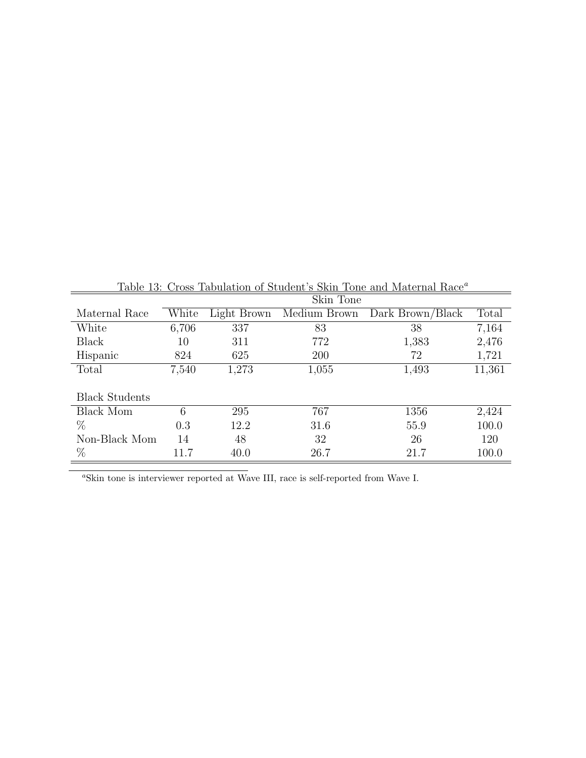|                       |       |             | Skin Tone    |                  |        |
|-----------------------|-------|-------------|--------------|------------------|--------|
| Maternal Race         | White | Light Brown | Medium Brown | Dark Brown/Black | Total  |
| White                 | 6,706 | 337         | 83           | 38               | 7,164  |
| <b>Black</b>          | 10    | 311         | 772          | 1,383            | 2,476  |
| Hispanic              | 824   | 625         | 200          | 72               | 1,721  |
| Total                 | 7,540 | 1,273       | 1,055        | 1,493            | 11,361 |
|                       |       |             |              |                  |        |
| <b>Black Students</b> |       |             |              |                  |        |
| <b>Black Mom</b>      | 6     | 295         | 767          | 1356             | 2,424  |
| $\%$                  | 0.3   | 12.2        | 31.6         | 55.9             | 100.0  |
| Non-Black Mom         | 14    | 48          | 32           | 26               | 120    |
| $\%$                  | 11.7  | 40.0        | 26.7         | 21.7             | 100.0  |

Table 13: Cross Tabulation of Student's Skin Tone and Maternal Race<sup>a</sup>

 $a$ Skin tone is interviewer reported at Wave III, race is self-reported from Wave I.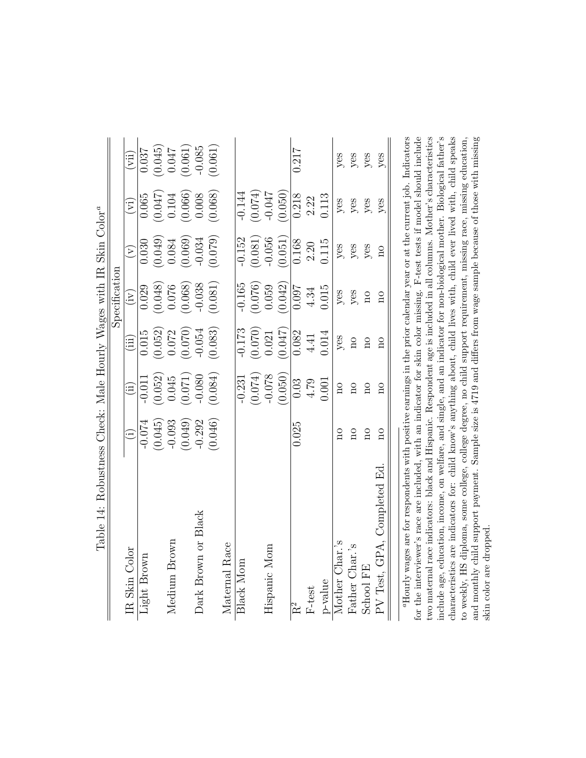|                                                                               |                           | $\widehat{\Xi}$                  | 0.037       | $(0.045)$<br>0.047                                        |              | (0.061)                                                                       | $-0.085$            | (0.061) |               |           |         |              |                                 | 0.217 |                     |         | $y$ es              | $y$ es                  | yes                     | yes                        |
|-------------------------------------------------------------------------------|---------------------------|----------------------------------|-------------|-----------------------------------------------------------|--------------|-------------------------------------------------------------------------------|---------------------|---------|---------------|-----------|---------|--------------|---------------------------------|-------|---------------------|---------|---------------------|-------------------------|-------------------------|----------------------------|
|                                                                               |                           | $\rm \widehat{(\vec{v})}$        | 0.065       |                                                           |              | $\begin{array}{c} (0.047) \\ 0.104 \\ 0.066) \\ (0.066) \\ 0.008 \end{array}$ |                     | (0.068) |               | $-0.144$  | (0.074) | $-0.047$     | (0.050)                         | 0.218 | 2.22                | 0.113   | yes                 | $y$ es                  | yes                     | yes                        |
|                                                                               |                           | $\left(\lambda\right)$           | 0.030       |                                                           |              | $(0.049)$<br>0.084<br>0.069)                                                  | $-0.034$            | (0.079) |               | $-0.152$  | (0.081) | $-0.056$     | (0.051)                         | 0.168 | 2.20                | 0.115   | yes                 | $y$ es                  | yes                     | $\Omega$                   |
|                                                                               | $S$ peci ${\rm f}$ cation | $\left(\mathrm{iv}\right)$       | 0.029       | $\begin{array}{c} (0.048) \\ 0.076 \\ 0.068) \end{array}$ |              |                                                                               | $-0.038$            | (0.081) |               | $-0.165$  |         |              | $(0.076)$<br>0.059<br>$(0.042)$ | 0.097 | 4.34                | 0.015   | yes                 | yes                     | $\overline{\text{no}}$  | $\mathbf{S}$               |
|                                                                               |                           | $\mathop{\mathrm{iii}}\nolimits$ | 0.015       |                                                           |              | $\begin{array}{c} (0.052) \\ 0.072 \\ 0.072 \end{array}$                      | $-0.054$            | (0.083) |               | $-0.173$  | (0.070) | 0.021        | (0.047)                         | 0.082 | 4.41                | 0.014   | yes                 | $\overline{\mathbf{n}}$ | $\overline{\mathrm{m}}$ | $\Omega$                   |
|                                                                               |                           | $\widehat{\mathrm{H}}$           | $-0.011$    | (0.052)                                                   |              | $\begin{array}{c} 0.045 \\ (0.071) \\ -0.080 \end{array}$                     |                     | (0.084) |               | $-0.231$  | (0.074) | $-0.078$     | (0.050)                         | 0.03  | 4.79                | 0.001   | $\overline{\Omega}$ | $\overline{n}$          | $\overline{a}$          | $\overline{\mathrm{n}}$    |
|                                                                               |                           | $\hat{E}$                        | $-0.074$    | (0.045)                                                   | $-0.093$     | (0.049)                                                                       | $-0.292$            | (0.046) |               |           |         |              |                                 | 0.025 |                     |         | $\overline{a}$      | $\overline{\mathrm{n}}$ | $\overline{\mathbf{n}}$ | $\overline{a}$             |
| Table 14: Robustness Check: Male Hourly Wages with IR Skin Color <sup>a</sup> |                           | <b>IR</b> Skin Color             | Light Brown |                                                           | Medium Brown |                                                                               | Dark Brown or Black |         | Maternal Race | Black Mom |         | Hispanic Mom |                                 | $R^2$ | $\rm F\mbox{-}test$ | p-value | Mother Char.'s      | Father Char.'s          | School FE               | PV Test, GPA, Completed Ed |

to weekly, HS diploma, some college, college degree, no child support requirement, missing race, missing education,<br>and monthly child support payment. Sample size is 4719 and differs from wage sample because of those with "Hourly wages are for respondents with positive earnings in the prior calendar year or at the current job. Indicators for the interviewer's race are included, with an indicator for skin color missing. F-test tests if model should include two maternal race indicators: black and Hispanic. Respondent age is included in all columns. Mother's characteristics include age, education, income, on welfare, and single, and an indicator for non-biological mother. Biological father's characteristics are indicators for: child know's anything about, child lives with, child ever lived with, child speaks aHourly wages are for respondents with positive earnings in the prior calendar year or at the current job. Indicators for the interviewer's race are included, with an indicator for skin color missing. F-test tests if model should include two maternal race indicators: black and Hispanic. Respondent age is included in all columns. Mother's characteristics include age, education, income, on welfare, and single, and an indicator for non-biological mother. Biological father's characteristics are indicators for: child know's anything about, child lives with, child ever lived with, child speaks and monthly child support payment. Sample size is 4719 and differs from wage sample because of those with missing to weekly, HS diploma, some college, college degree, no child support requirement, missing race, missing education, H

skin color are dropped.

skin color are dropped.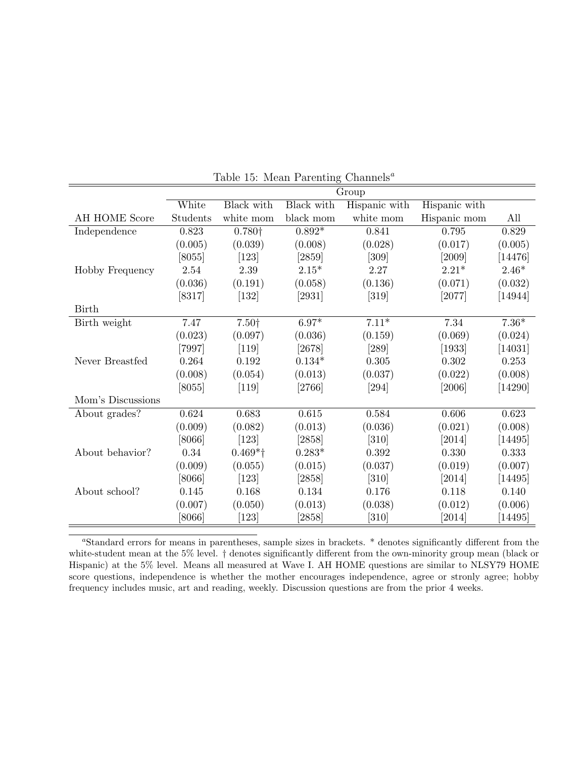|                   |          | $\operatorname{Group}$ |            |               |                     |           |  |
|-------------------|----------|------------------------|------------|---------------|---------------------|-----------|--|
|                   | White    | Black with             | Black with | Hispanic with | Hispanic with       |           |  |
| AH HOME Score     | Students | white mom              | black mom  | white mom     | Hispanic mom        | All       |  |
| Independence      | 0.823    | 0.780 <sup>†</sup>     | $0.892*$   | 0.841         | 0.795               | 0.829     |  |
|                   | (0.005)  | (0.039)                | (0.008)    | (0.028)       | (0.017)             | (0.005)   |  |
|                   | $[8055]$ | $[123]$                | $[2859]$   | [309]         | [2009]              | [14476]   |  |
| Hobby Frequency   | 2.54     | 2.39                   | $2.15*$    | 2.27          | $2.21*$             | $2.46*$   |  |
|                   | (0.036)  | (0.191)                | (0.058)    | (0.136)       | (0.071)             | (0.032)   |  |
|                   | [8317]   | $[132]$                | $[2931]$   | $[319]$       | [2077]              | [14944]   |  |
| <b>Birth</b>      |          |                        |            |               |                     |           |  |
| Birth weight      | 7.47     | 7.50+                  | $6.97*$    | $7.11*$       | 7.34                | $7.36*$   |  |
|                   | (0.023)  | (0.097)                | (0.036)    | (0.159)       | (0.069)             | (0.024)   |  |
|                   | $[7997]$ | $[119]$                | [2678]     | [289]         | $\left[1933\right]$ | [14031]   |  |
| Never Breastfed   | 0.264    | 0.192                  | $0.134*$   | 0.305         | 0.302               | 0.253     |  |
|                   | (0.008)  | (0.054)                | (0.013)    | (0.037)       | (0.022)             | (0.008)   |  |
|                   | $[8055]$ | $[119]$                | $[2766]$   | [294]         | [2006]              | [14290]   |  |
| Mom's Discussions |          |                        |            |               |                     |           |  |
| About grades?     | 0.624    | 0.683                  | 0.615      | 0.584         | 0.606               | 0.623     |  |
|                   | (0.009)  | (0.082)                | (0.013)    | (0.036)       | (0.021)             | (0.008)   |  |
|                   | [8066]   | $[123]$                | [2858]     | [310]         | [2014]              | [14495]   |  |
| About behavior?   | 0.34     | $0.469*$ <sup>†</sup>  | $0.283*$   | 0.392         | 0.330               | 0.333     |  |
|                   | (0.009)  | (0.055)                | (0.015)    | (0.037)       | (0.019)             | (0.007)   |  |
|                   | [8066]   | $[123]$                | $[2858]$   | $[310]$       | $\left[2014\right]$ | $[14495]$ |  |
| About school?     | 0.145    | 0.168                  | 0.134      | 0.176         | 0.118               | 0.140     |  |
|                   | (0.007)  | (0.050)                | (0.013)    | (0.038)       | (0.012)             | (0.006)   |  |
|                   | [8066]   | [123]                  | $[2858]$   | [310]         | [2014]              | $[14495]$ |  |

Table 15: Mean Parenting Channels<sup>a</sup>

<sup>a</sup>Standard errors for means in parentheses, sample sizes in brackets. \* denotes significantly different from the white-student mean at the 5% level.  $\dagger$  denotes significantly different from the own-minority group mean (black or Hispanic) at the 5% level. Means all measured at Wave I. AH HOME questions are similar to NLSY79 HOME score questions, independence is whether the mother encourages independence, agree or stronly agree; hobby frequency includes music, art and reading, weekly. Discussion questions are from the prior 4 weeks.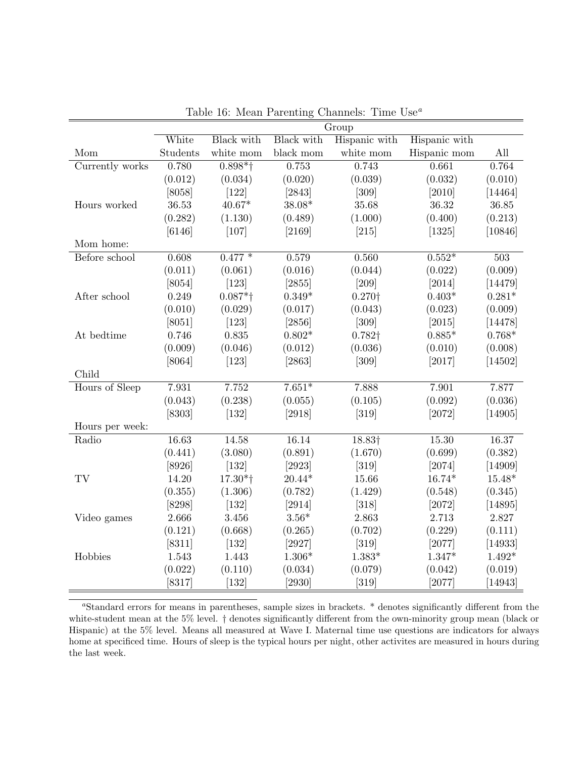|                 |          |                       |                                                                                                                      | Group              |               |          |
|-----------------|----------|-----------------------|----------------------------------------------------------------------------------------------------------------------|--------------------|---------------|----------|
|                 | White    | Black with            | Black with                                                                                                           | Hispanic with      | Hispanic with |          |
| Mom             | Students | white mom             | black $\operatorname*{mom}% \left( X_{0},\mathbf{0}\right) =\operatorname*{dom}(\mathbf{X})\left( \mathbf{0}\right)$ | white mom          | Hispanic mom  | All      |
| Currently works | 0.780    | $0.898*$ <sup>†</sup> | 0.753                                                                                                                | 0.743              | 0.661         | 0.764    |
|                 | (0.012)  | (0.034)               | (0.020)                                                                                                              | (0.039)            | (0.032)       | (0.010)  |
|                 | [8058]   | $[122]$               | [2843]                                                                                                               | $[309]$            | [2010]        | [14464]  |
| Hours worked    | 36.53    | $40.67*$              | 38.08*                                                                                                               | 35.68              | 36.32         | 36.85    |
|                 | (0.282)  | (1.130)               | (0.489)                                                                                                              | (1.000)            | (0.400)       | (0.213)  |
|                 | [6146]   | $[107]$               | [2169]                                                                                                               | $[215]$            | [1325]        | [10846]  |
| Mom home:       |          |                       |                                                                                                                      |                    |               |          |
| Before school   | 0.608    | $0.477*$              | 0.579                                                                                                                | 0.560              | $0.552*$      | 503      |
|                 | (0.011)  | (0.061)               | (0.016)                                                                                                              | (0.044)            | (0.022)       | (0.009)  |
|                 | [8054]   | $[123]$               | [2855]                                                                                                               | $[209]$            | $[2014]$      | [14479]  |
| After school    | 0.249    | $0.087*$ †            | $0.349*$                                                                                                             | $0.270\dagger$     | $0.403*$      | $0.281*$ |
|                 | (0.010)  | (0.029)               | (0.017)                                                                                                              | (0.043)            | (0.023)       | (0.009)  |
|                 | [8051]   | $[123]$               | [2856]                                                                                                               | $[309]$            | [2015]        | [14478]  |
| At bedtime      | 0.746    | 0.835                 | $0.802*$                                                                                                             | $0.782\dagger$     | $0.885*$      | $0.768*$ |
|                 | (0.009)  | (0.046)               | (0.012)                                                                                                              | (0.036)            | (0.010)       | (0.008)  |
|                 | [8064]   | $[123]$               | [2863]                                                                                                               | $[309]$            | [2017]        | [14502]  |
| Child           |          |                       |                                                                                                                      |                    |               |          |
| Hours of Sleep  | 7.931    | 7.752                 | $7.651*$                                                                                                             | 7.888              | 7.901         | 7.877    |
|                 | (0.043)  | (0.238)               | (0.055)                                                                                                              | (0.105)            | (0.092)       | (0.036)  |
|                 | [8303]   | $[132]$               | [2918]                                                                                                               | $[319]$            | [2072]        | [14905]  |
| Hours per week: |          |                       |                                                                                                                      |                    |               |          |
| Radio           | 16.63    | 14.58                 | 16.14                                                                                                                | 18.83 <sup>+</sup> | 15.30         | 16.37    |
|                 | (0.441)  | (3.080)               | (0.891)                                                                                                              | (1.670)            | (0.699)       | (0.382)  |
|                 | [8926]   | $[132]$               | [2923]                                                                                                               | $[319]$            | [2074]        | [14909]  |
| TV              | 14.20    | $17.30*$ <sup>+</sup> | $20.44*$                                                                                                             | 15.66              | $16.74*$      | $15.48*$ |
|                 | (0.355)  | (1.306)               | (0.782)                                                                                                              | (1.429)            | (0.548)       | (0.345)  |
|                 | [8298]   | $[132]$               | [2914]                                                                                                               | $[318]$            | [2072]        | [14895]  |
| Video games     | 2.666    | 3.456                 | $3.56*$                                                                                                              | 2.863              | 2.713         | 2.827    |
|                 | (0.121)  | (0.668)               | (0.265)                                                                                                              | (0.702)            | (0.229)       | (0.111)  |
|                 | [8311]   | $[132]$               | [2927]                                                                                                               | $[319]$            | [2077]        | [14933]  |
| Hobbies         | 1.543    | 1.443                 | $1.306*$                                                                                                             | $1.383*$           | $1.347*$      | $1.492*$ |
|                 | (0.022)  | (0.110)               | (0.034)                                                                                                              | (0.079)            | (0.042)       | (0.019)  |
|                 | $[8317]$ | $[132]$               | [2930]                                                                                                               | [319]              | [2077]        | [14943]  |

Table 16: Mean Parenting Channels: Time  $Use^a$ 

<sup>a</sup>Standard errors for means in parentheses, sample sizes in brackets. \* denotes significantly different from the white-student mean at the 5% level. † denotes significantly different from the own-minority group mean (black or Hispanic) at the 5% level. Means all measured at Wave I. Maternal time use questions are indicators for always home at specificed time. Hours of sleep is the typical hours per night, other activites are measured in hours during the last week.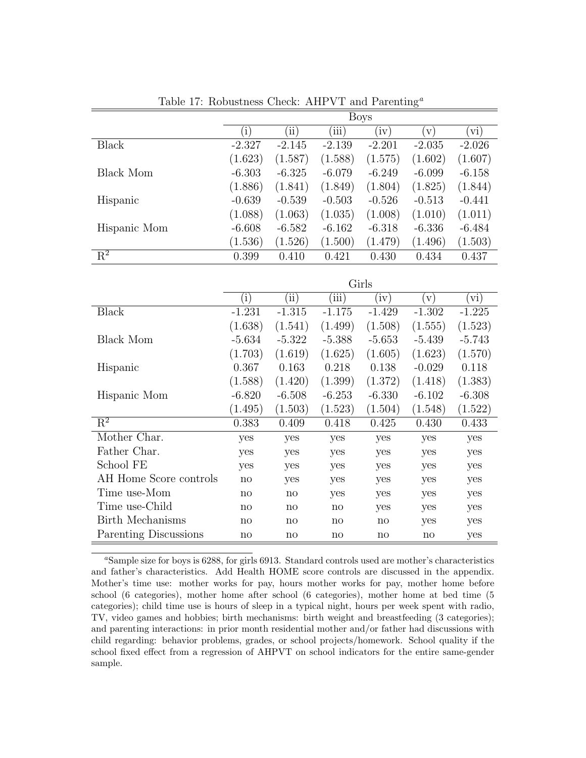|              | <b>Boys</b> |            |          |          |               |          |  |
|--------------|-------------|------------|----------|----------|---------------|----------|--|
|              | $\rm(i)$    | $\rm (ii)$ | (iii)    | (iv)     | $\mathbf{v})$ | (vi)     |  |
| Black        | $-2.327$    | $-2.145$   | $-2.139$ | $-2.201$ | $-2.035$      | $-2.026$ |  |
|              | (1.623)     | (1.587)    | (1.588)  | (1.575)  | (1.602)       | (1.607)  |  |
| Black Mom    | $-6.303$    | $-6.325$   | $-6.079$ | $-6.249$ | $-6.099$      | $-6.158$ |  |
|              | (1.886)     | (1.841)    | (1.849)  | (1.804)  | (1.825)       | (1.844)  |  |
| Hispanic     | $-0.639$    | $-0.539$   | $-0.503$ | $-0.526$ | $-0.513$      | $-0.441$ |  |
|              | (1.088)     | (1.063)    | (1.035)  | (1.008)  | (1.010)       | (1.011)  |  |
| Hispanic Mom | $-6.608$    | $-6.582$   | $-6.162$ | $-6.318$ | $-6.336$      | $-6.484$ |  |
|              | (1.536)     | (1.526)    | (1.500)  | (1.479)  | (1.496)       | (1.503)  |  |
| $R^2$        | 0.399       | 0.410      | 0.421    | 0.430    | 0.434         | 0.437    |  |

Table 17: Robustness Check: AHPVT and Parenting<sup>a</sup>

|                        | Girls        |              |              |              |              |                |  |  |
|------------------------|--------------|--------------|--------------|--------------|--------------|----------------|--|--|
|                        | $\rm(i)$     | $\rm (ii)$   | (iii)        | $\rm(iv)$    | $\rm (v)$    | $\mathbf{vi})$ |  |  |
| <b>Black</b>           | $-1.231$     | $-1.315$     | $-1.175$     | $-1.429$     | $-1.302$     | $-1.225$       |  |  |
|                        | (1.638)      | (1.541)      | (1.499)      | (1.508)      | (1.555)      | (1.523)        |  |  |
| Black Mom              | $-5.634$     | $-5.322$     | $-5.388$     | $-5.653$     | $-5.439$     | $-5.743$       |  |  |
|                        | (1.703)      | (1.619)      | (1.625)      | (1.605)      | (1.623)      | (1.570)        |  |  |
| Hispanic               | 0.367        | 0.163        | 0.218        | 0.138        | $-0.029$     | 0.118          |  |  |
|                        | (1.588)      | (1.420)      | (1.399)      | (1.372)      | (1.418)      | (1.383)        |  |  |
| Hispanic Mom           | $-6.820$     | $-6.508$     | $-6.253$     | $-6.330$     | $-6.102$     | $-6.308$       |  |  |
|                        | (1.495)      | (1.503)      | (1.523)      | (1.504)      | (1.548)      | (1.522)        |  |  |
| $\mathbf{R}^2$         | 0.383        | 0.409        | 0.418        | 0.425        | 0.430        | 0.433          |  |  |
| Mother Char.           | yes          | yes          | yes          | yes          | yes          | yes            |  |  |
| Father Char.           | yes          | yes          | yes          | yes          | yes          | yes            |  |  |
| School FE              | yes          | yes          | yes          | yes          | yes          | yes            |  |  |
| AH Home Score controls | $\mathbf{n}$ | yes          | yes          | yes          | yes          | yes            |  |  |
| Time use-Mom           | $\mathbf{n}$ | no           | yes          | yes          | yes          | yes            |  |  |
| Time use-Child         | $\mathbf{n}$ | $\mathbf{n}$ | $\mathbf{n}$ | yes          | yes          | yes            |  |  |
| Birth Mechanisms       | $\mathbf{n}$ | $\mathbf{n}$ | $\mathbf{n}$ | $\mathbf{n}$ | yes          | yes            |  |  |
| Parenting Discussions  | $\mathbf{n}$ | no           | $\mathbf{n}$ | $\mathbf{n}$ | $\mathbf{n}$ | yes            |  |  |

<sup>a</sup>Sample size for boys is 6288, for girls 6913. Standard controls used are mother's characteristics and father's characteristics. Add Health HOME score controls are discussed in the appendix. Mother's time use: mother works for pay, hours mother works for pay, mother home before school (6 categories), mother home after school (6 categories), mother home at bed time (5 categories); child time use is hours of sleep in a typical night, hours per week spent with radio, TV, video games and hobbies; birth mechanisms: birth weight and breastfeeding (3 categories); and parenting interactions: in prior month residential mother and/or father had discussions with child regarding: behavior problems, grades, or school projects/homework. School quality if the school fixed effect from a regression of AHPVT on school indicators for the entire same-gender sample.